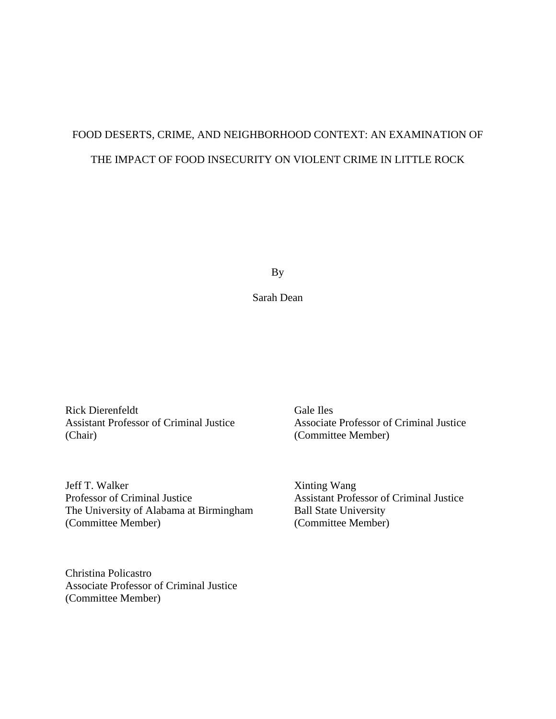# FOOD DESERTS, CRIME, AND NEIGHBORHOOD CONTEXT: AN EXAMINATION OF THE IMPACT OF FOOD INSECURITY ON VIOLENT CRIME IN LITTLE ROCK

By

Sarah Dean

Rick Dierenfeldt Assistant Professor of Criminal Justice (Chair)

Gale Iles Associate Professor of Criminal Justice (Committee Member)

Jeff T. Walker Professor of Criminal Justice The University of Alabama at Birmingham (Committee Member)

Christina Policastro Associate Professor of Criminal Justice (Committee Member)

Xinting Wang Assistant Professor of Criminal Justice Ball State University (Committee Member)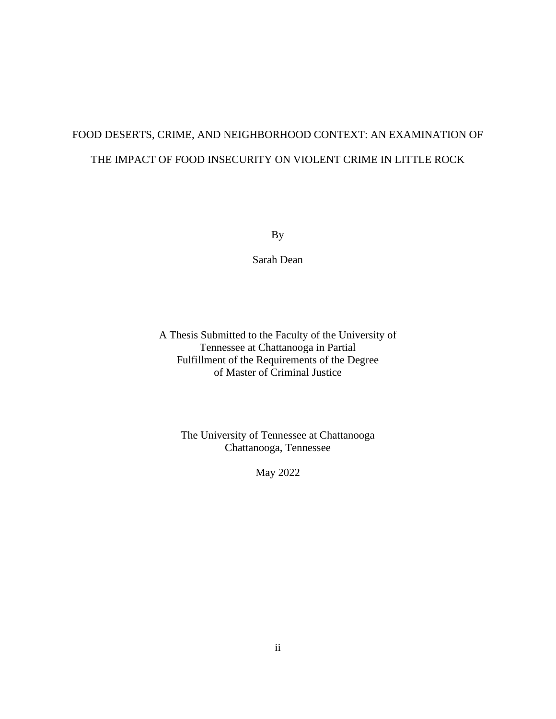# FOOD DESERTS, CRIME, AND NEIGHBORHOOD CONTEXT: AN EXAMINATION OF THE IMPACT OF FOOD INSECURITY ON VIOLENT CRIME IN LITTLE ROCK

By

Sarah Dean

A Thesis Submitted to the Faculty of the University of Tennessee at Chattanooga in Partial Fulfillment of the Requirements of the Degree of Master of Criminal Justice

The University of Tennessee at Chattanooga Chattanooga, Tennessee

May 2022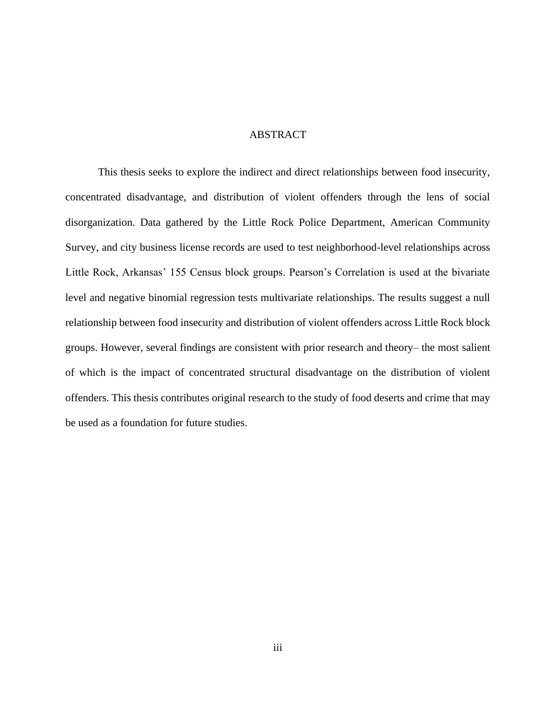## ABSTRACT

This thesis seeks to explore the indirect and direct relationships between food insecurity, concentrated disadvantage, and distribution of violent offenders through the lens of social disorganization. Data gathered by the Little Rock Police Department, American Community Survey, and city business license records are used to test neighborhood-level relationships across Little Rock, Arkansas' 155 Census block groups. Pearson's Correlation is used at the bivariate level and negative binomial regression tests multivariate relationships. The results suggest a null relationship between food insecurity and distribution of violent offenders across Little Rock block groups. However, several findings are consistent with prior research and theory– the most salient of which is the impact of concentrated structural disadvantage on the distribution of violent offenders. This thesis contributes original research to the study of food deserts and crime that may be used as a foundation for future studies.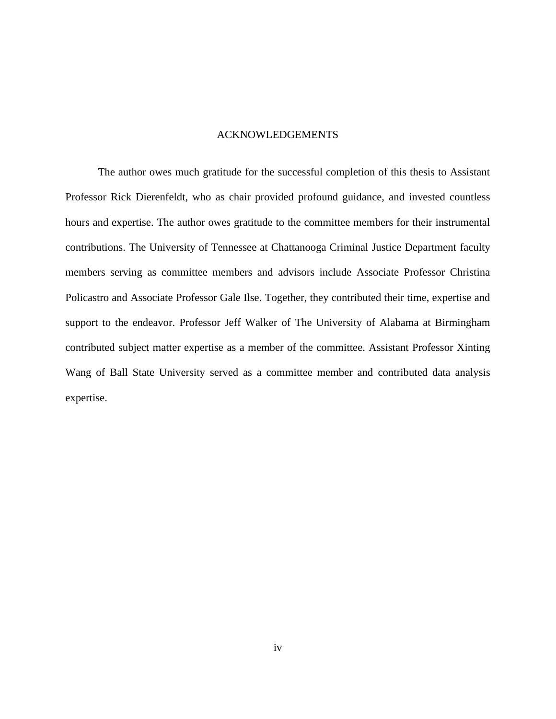#### ACKNOWLEDGEMENTS

The author owes much gratitude for the successful completion of this thesis to Assistant Professor Rick Dierenfeldt, who as chair provided profound guidance, and invested countless hours and expertise. The author owes gratitude to the committee members for their instrumental contributions. The University of Tennessee at Chattanooga Criminal Justice Department faculty members serving as committee members and advisors include Associate Professor Christina Policastro and Associate Professor Gale Ilse. Together, they contributed their time, expertise and support to the endeavor. Professor Jeff Walker of The University of Alabama at Birmingham contributed subject matter expertise as a member of the committee. Assistant Professor Xinting Wang of Ball State University served as a committee member and contributed data analysis expertise.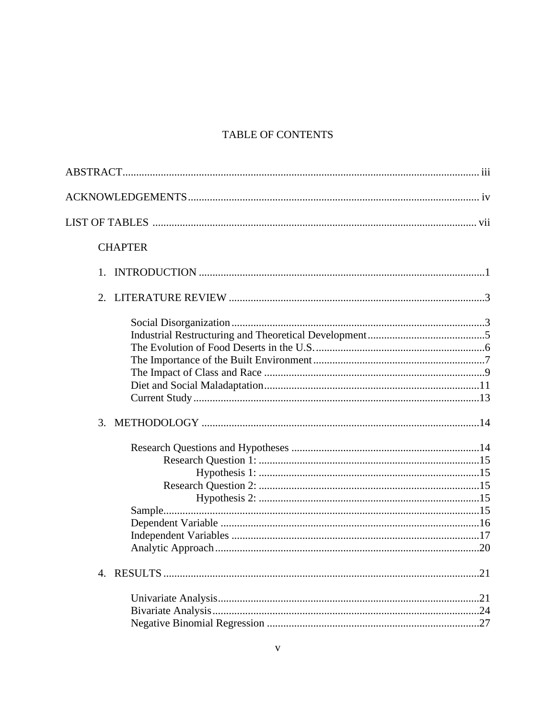## TABLE OF CONTENTS

| <b>CHAPTER</b> |  |
|----------------|--|
|                |  |
|                |  |
|                |  |
|                |  |
|                |  |
|                |  |
|                |  |
|                |  |
|                |  |
|                |  |
|                |  |
|                |  |
|                |  |
|                |  |
|                |  |
|                |  |
|                |  |
|                |  |
|                |  |
|                |  |
|                |  |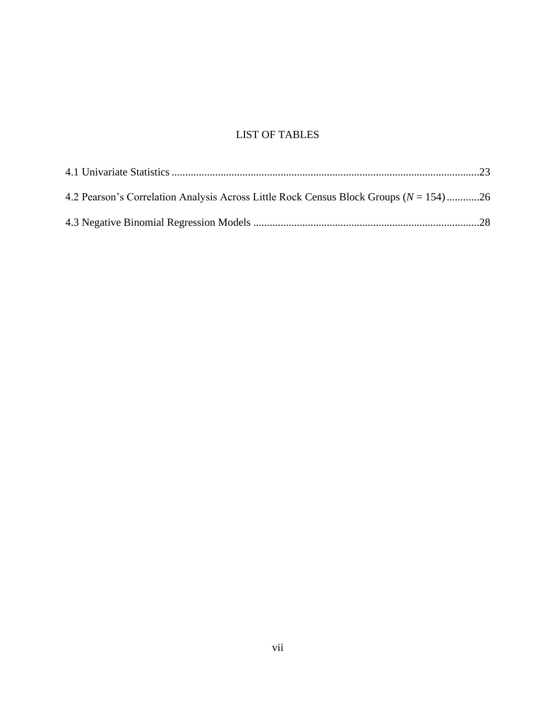## LIST OF TABLES

| 4.2 Pearson's Correlation Analysis Across Little Rock Census Block Groups ( $N = 154$ )26 |  |
|-------------------------------------------------------------------------------------------|--|
|                                                                                           |  |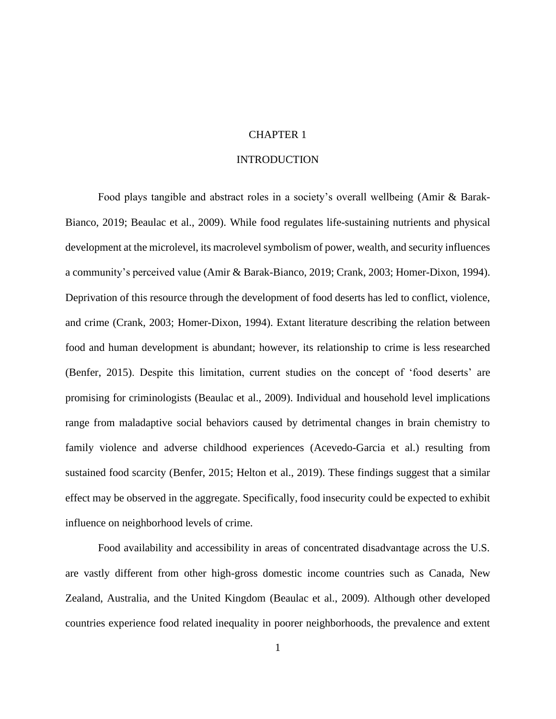## CHAPTER 1

## INTRODUCTION

Food plays tangible and abstract roles in a society's overall wellbeing [\(Amir & Barak-](#page-43-0)[Bianco, 2019;](#page-43-0) [Beaulac et al., 2009\)](#page-44-0). While food regulates life-sustaining nutrients and physical development at the microlevel, its macrolevel symbolism of power, wealth, and security influences a community's perceived value [\(Amir & Barak-Bianco, 2019;](#page-43-0) [Crank, 2003;](#page-45-0) [Homer-Dixon, 1994\)](#page-46-0). Deprivation of this resource through the development of food deserts has led to conflict, violence, and crime [\(Crank, 2003;](#page-45-0) [Homer-Dixon, 1994\)](#page-46-0). Extant literature describing the relation between food and human development is abundant; however, its relationship to crime is less researched [\(Benfer, 2015\)](#page-44-1). Despite this limitation, current studies on the concept of 'food deserts' are promising for criminologists [\(Beaulac et al., 2009\)](#page-44-0). Individual and household level implications range from maladaptive social behaviors caused by detrimental changes in brain chemistry to family violence and adverse childhood experiences [\(Acevedo-Garcia et al.\)](#page-43-1) resulting from sustained food scarcity [\(Benfer, 2015;](#page-44-1) [Helton et al., 2019\)](#page-46-1). These findings suggest that a similar effect may be observed in the aggregate. Specifically, food insecurity could be expected to exhibit influence on neighborhood levels of crime.

Food availability and accessibility in areas of concentrated disadvantage across the U.S. are vastly different from other high-gross domestic income countries such as Canada, New Zealand, Australia, and the United Kingdom [\(Beaulac et al., 2009\)](#page-44-0). Although other developed countries experience food related inequality in poorer neighborhoods, the prevalence and extent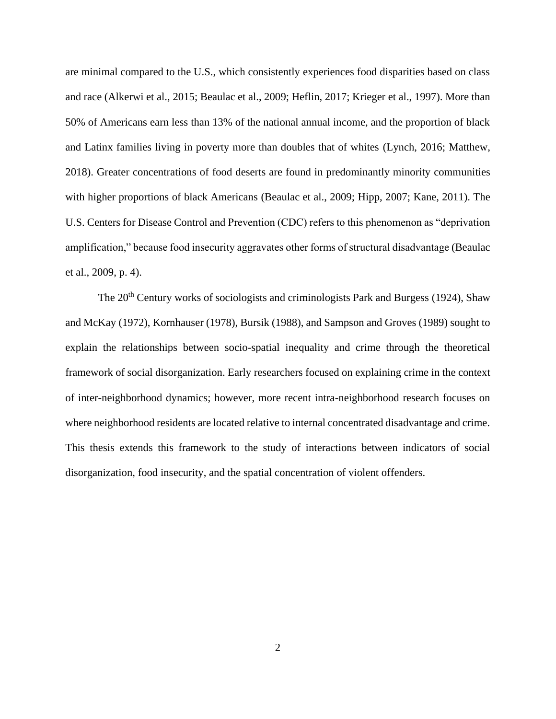are minimal compared to the U.S., which consistently experiences food disparities based on class and race [\(Alkerwi et al., 2015;](#page-43-2) [Beaulac et al., 2009;](#page-44-0) [Heflin, 2017;](#page-46-2) [Krieger et al., 1997\)](#page-47-0). More than 50% of Americans earn less than 13% of the national annual income, and the proportion of black and Latinx families living in poverty more than doubles that of whites [\(Lynch, 2016;](#page-48-0) [Matthew,](#page-48-1)  [2018\)](#page-48-1). Greater concentrations of food deserts are found in predominantly minority communities with higher proportions of black Americans [\(Beaulac et al., 2009;](#page-44-0) [Hipp, 2007;](#page-46-3) [Kane, 2011\)](#page-47-1). The U.S. Centers for Disease Control and Prevention (CDC) refers to this phenomenon as "deprivation amplification," because food insecurity aggravates other forms of structural disadvantage [\(Beaulac](#page-44-0)  [et al., 2009, p. 4\)](#page-44-0).

The 20<sup>th</sup> Century works of sociologists and criminologists Park and Burgess [\(1924\)](#page-49-0), Shaw and McKay [\(1972\)](#page-51-0), Kornhauser [\(1978\)](#page-47-2), Bursik [\(1988\)](#page-44-2), and Sampson and Groves [\(1989\)](#page-50-0) sought to explain the relationships between socio-spatial inequality and crime through the theoretical framework of social disorganization. Early researchers focused on explaining crime in the context of inter-neighborhood dynamics; however, more recent intra-neighborhood research focuses on where neighborhood residents are located relative to internal concentrated disadvantage and crime. This thesis extends this framework to the study of interactions between indicators of social disorganization, food insecurity, and the spatial concentration of violent offenders.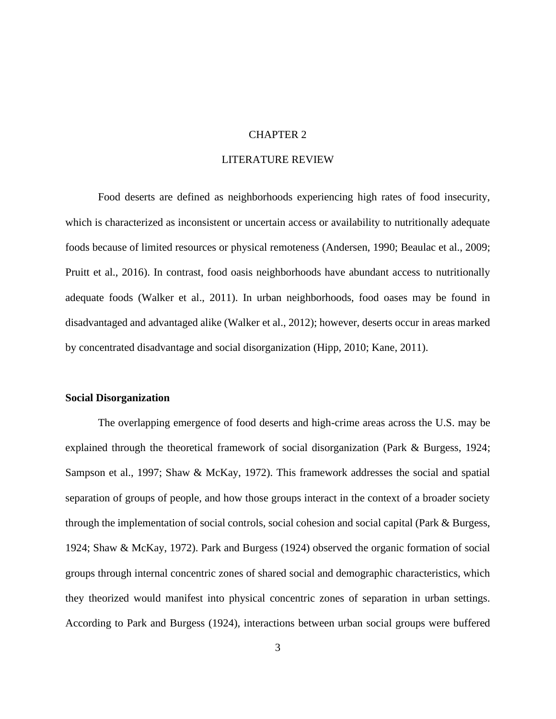## CHAPTER 2

## LITERATURE REVIEW

Food deserts are defined as neighborhoods experiencing high rates of food insecurity, which is characterized as inconsistent or uncertain access or availability to nutritionally adequate foods because of limited resources or physical remoteness [\(Andersen, 1990;](#page-43-3) [Beaulac et al., 2009;](#page-44-0) [Pruitt et al., 2016\)](#page-49-1). In contrast, food oasis neighborhoods have abundant access to nutritionally adequate foods [\(Walker et al., 2011\)](#page-51-1). In urban neighborhoods, food oases may be found in disadvantaged and advantaged alike [\(Walker et al., 2012\)](#page-51-2); however, deserts occur in areas marked by concentrated disadvantage and social disorganization [\(Hipp, 2010;](#page-46-4) [Kane, 2011\)](#page-47-1).

#### **Social Disorganization**

The overlapping emergence of food deserts and high-crime areas across the U.S. may be explained through the theoretical framework of social disorganization [\(Park & Burgess, 1924;](#page-49-0) [Sampson et al., 1997;](#page-50-1) [Shaw & McKay, 1972\)](#page-51-0). This framework addresses the social and spatial separation of groups of people, and how those groups interact in the context of a broader society through the implementation of social controls, social cohesion and social capital [\(Park & Burgess,](#page-49-0)  [1924;](#page-49-0) [Shaw & McKay, 1972\)](#page-51-0). Park and Burgess [\(1924\)](#page-49-0) observed the organic formation of social groups through internal concentric zones of shared social and demographic characteristics, which they theorized would manifest into physical concentric zones of separation in urban settings. According to Park and Burgess [\(1924\)](#page-49-0), interactions between urban social groups were buffered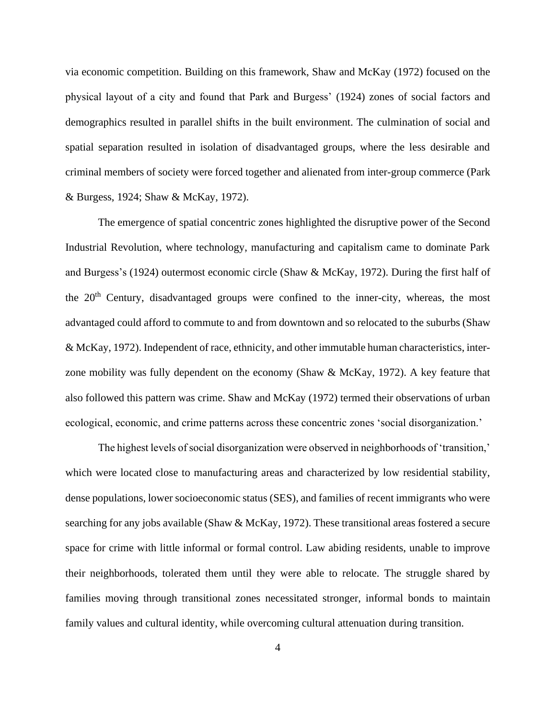via economic competition. Building on this framework, Shaw and McKay [\(1972\)](#page-51-0) focused on the physical layout of a city and found that Park and Burgess' [\(1924\)](#page-49-0) zones of social factors and demographics resulted in parallel shifts in the built environment. The culmination of social and spatial separation resulted in isolation of disadvantaged groups, where the less desirable and criminal members of society were forced together and alienated from inter-group commerce [\(Park](#page-49-0)  [& Burgess, 1924;](#page-49-0) [Shaw & McKay, 1972\)](#page-51-0).

The emergence of spatial concentric zones highlighted the disruptive power of the Second Industrial Revolution, where technology, manufacturing and capitalism came to dominate Park and Burgess's [\(1924\)](#page-49-0) outermost economic circle [\(Shaw & McKay, 1972\)](#page-51-0). During the first half of the 20<sup>th</sup> Century, disadvantaged groups were confined to the inner-city, whereas, the most advantaged could afford to commute to and from downtown and so relocated to the suburbs [\(Shaw](#page-51-0)  [& McKay, 1972\)](#page-51-0). Independent of race, ethnicity, and other immutable human characteristics, interzone mobility was fully dependent on the economy [\(Shaw & McKay, 1972\)](#page-51-0). A key feature that also followed this pattern was crime. Shaw and McKay [\(1972\)](#page-51-0) termed their observations of urban ecological, economic, and crime patterns across these concentric zones 'social disorganization.'

The highest levels of social disorganization were observed in neighborhoods of 'transition,' which were located close to manufacturing areas and characterized by low residential stability, dense populations, lower socioeconomic status (SES), and families of recent immigrants who were searching for any jobs available [\(Shaw & McKay, 1972\)](#page-51-0). These transitional areas fostered a secure space for crime with little informal or formal control. Law abiding residents, unable to improve their neighborhoods, tolerated them until they were able to relocate. The struggle shared by families moving through transitional zones necessitated stronger, informal bonds to maintain family values and cultural identity, while overcoming cultural attenuation during transition.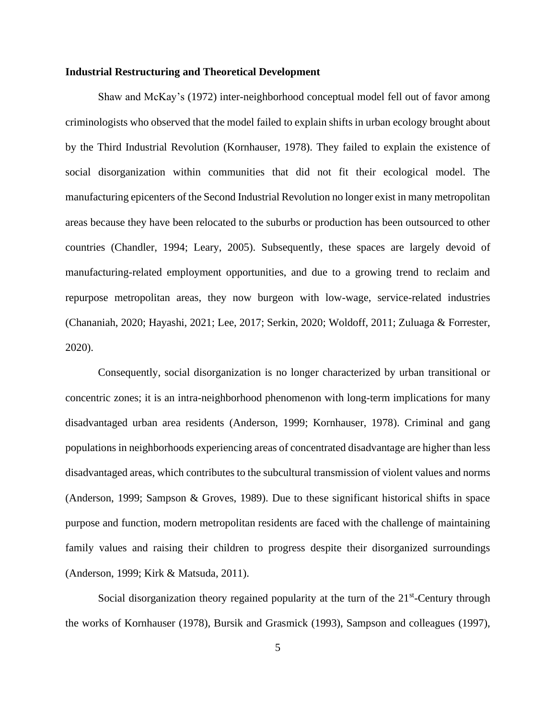#### **Industrial Restructuring and Theoretical Development**

Shaw and McKay's [\(1972\)](#page-51-0) inter-neighborhood conceptual model fell out of favor among criminologists who observed that the model failed to explain shifts in urban ecology brought about by the Third Industrial Revolution [\(Kornhauser, 1978\)](#page-47-2). They failed to explain the existence of social disorganization within communities that did not fit their ecological model. The manufacturing epicenters of the Second Industrial Revolution no longer exist in many metropolitan areas because they have been relocated to the suburbs or production has been outsourced to other countries [\(Chandler, 1994;](#page-44-3) [Leary, 2005\)](#page-48-2). Subsequently, these spaces are largely devoid of manufacturing-related employment opportunities, and due to a growing trend to reclaim and repurpose metropolitan areas, they now burgeon with low-wage, service-related industries [\(Chananiah, 2020;](#page-44-4) [Hayashi, 2021;](#page-46-5) [Lee, 2017;](#page-48-3) [Serkin, 2020;](#page-50-2) [Woldoff, 2011;](#page-52-0) [Zuluaga & Forrester,](#page-52-1)  [2020\)](#page-52-1).

Consequently, social disorganization is no longer characterized by urban transitional or concentric zones; it is an intra-neighborhood phenomenon with long-term implications for many disadvantaged urban area residents [\(Anderson, 1999;](#page-43-4) [Kornhauser, 1978\)](#page-47-2). Criminal and gang populations in neighborhoods experiencing areas of concentrated disadvantage are higher than less disadvantaged areas, which contributes to the subcultural transmission of violent values and norms [\(Anderson, 1999;](#page-43-4) [Sampson & Groves, 1989\)](#page-50-0). Due to these significant historical shifts in space purpose and function, modern metropolitan residents are faced with the challenge of maintaining family values and raising their children to progress despite their disorganized surroundings [\(Anderson, 1999;](#page-43-4) [Kirk & Matsuda, 2011\)](#page-47-3).

Social disorganization theory regained popularity at the turn of the  $21<sup>st</sup>$ -Century through the works of Kornhauser [\(1978\)](#page-47-2), Bursik and Grasmick [\(1993\)](#page-44-5), Sampson and colleagues [\(1997\)](#page-50-1),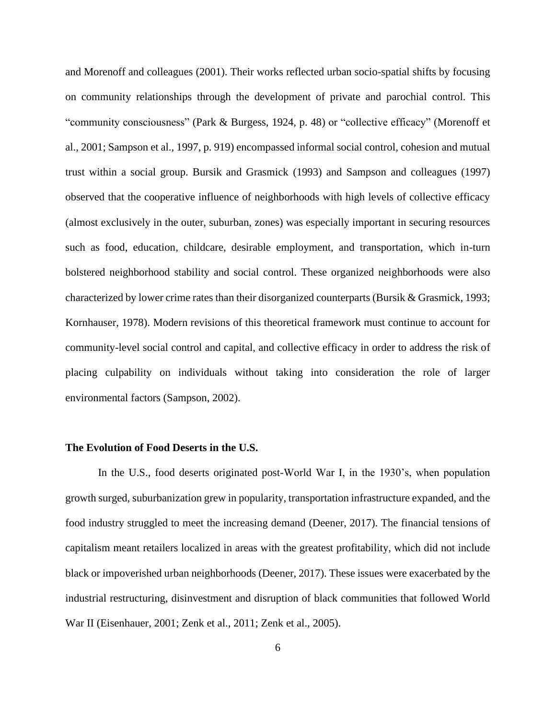and Morenoff and colleagues [\(2001\)](#page-49-2). Their works reflected urban socio-spatial shifts by focusing on community relationships through the development of private and parochial control. This "community consciousness" [\(Park & Burgess, 1924, p. 48\)](#page-49-0) or "collective efficacy" [\(Morenoff et](#page-49-2)  [al., 2001;](#page-49-2) [Sampson et al., 1997, p. 919\)](#page-50-1) encompassed informal social control, cohesion and mutual trust within a social group. Bursik and Grasmick [\(1993\)](#page-44-5) and Sampson and colleagues [\(1997\)](#page-50-1) observed that the cooperative influence of neighborhoods with high levels of collective efficacy (almost exclusively in the outer, suburban, zones) was especially important in securing resources such as food, education, childcare, desirable employment, and transportation, which in-turn bolstered neighborhood stability and social control. These organized neighborhoods were also characterized by lower crime rates than their disorganized counterparts [\(Bursik & Grasmick, 1993;](#page-44-5) [Kornhauser, 1978\)](#page-47-2). Modern revisions of this theoretical framework must continue to account for community-level social control and capital, and collective efficacy in order to address the risk of placing culpability on individuals without taking into consideration the role of larger environmental factors [\(Sampson, 2002\)](#page-50-3).

## **The Evolution of Food Deserts in the U.S.**

In the U.S., food deserts originated post-World War I, in the 1930's, when population growth surged, suburbanization grew in popularity, transportation infrastructure expanded, and the food industry struggled to meet the increasing demand [\(Deener, 2017\)](#page-45-1). The financial tensions of capitalism meant retailers localized in areas with the greatest profitability, which did not include black or impoverished urban neighborhoods [\(Deener, 2017\)](#page-45-1). These issues were exacerbated by the industrial restructuring, disinvestment and disruption of black communities that followed World War II [\(Eisenhauer, 2001;](#page-45-2) [Zenk et al., 2011;](#page-52-2) [Zenk et al., 2005\)](#page-52-3).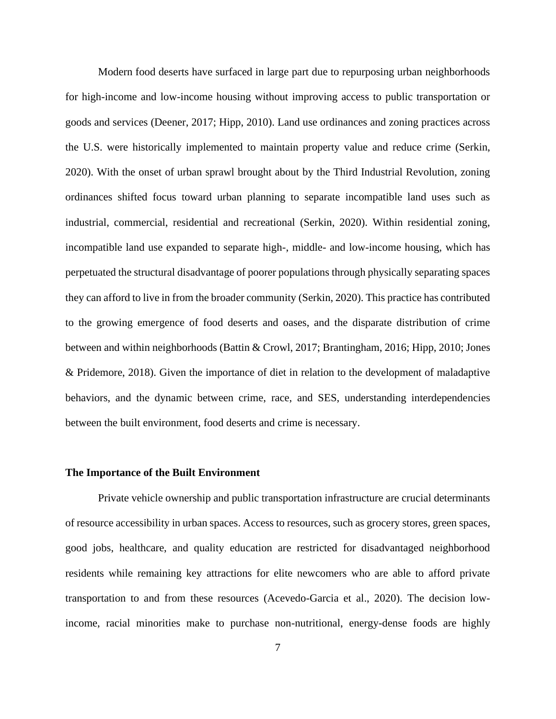Modern food deserts have surfaced in large part due to repurposing urban neighborhoods for high-income and low-income housing without improving access to public transportation or goods and services [\(Deener, 2017;](#page-45-1) [Hipp, 2010\)](#page-46-4). Land use ordinances and zoning practices across the U.S. were historically implemented to maintain property value and reduce crime [\(Serkin,](#page-50-2)  [2020\)](#page-50-2). With the onset of urban sprawl brought about by the Third Industrial Revolution, zoning ordinances shifted focus toward urban planning to separate incompatible land uses such as industrial, commercial, residential and recreational [\(Serkin, 2020\)](#page-50-2). Within residential zoning, incompatible land use expanded to separate high-, middle- and low-income housing, which has perpetuated the structural disadvantage of poorer populations through physically separating spaces they can afford to live in from the broader community [\(Serkin, 2020\)](#page-50-2). This practice has contributed to the growing emergence of food deserts and oases, and the disparate distribution of crime between and within neighborhoods [\(Battin & Crowl, 2017;](#page-44-6) [Brantingham, 2016;](#page-44-7) [Hipp, 2010;](#page-46-4) [Jones](#page-47-4)  [& Pridemore, 2018\)](#page-47-4). Given the importance of diet in relation to the development of maladaptive behaviors, and the dynamic between crime, race, and SES, understanding interdependencies between the built environment, food deserts and crime is necessary.

#### **The Importance of the Built Environment**

Private vehicle ownership and public transportation infrastructure are crucial determinants of resource accessibility in urban spaces. Access to resources, such as grocery stores, green spaces, good jobs, healthcare, and quality education are restricted for disadvantaged neighborhood residents while remaining key attractions for elite newcomers who are able to afford private transportation to and from these resources [\(Acevedo-Garcia et al., 2020\)](#page-43-1). The decision lowincome, racial minorities make to purchase non-nutritional, energy-dense foods are highly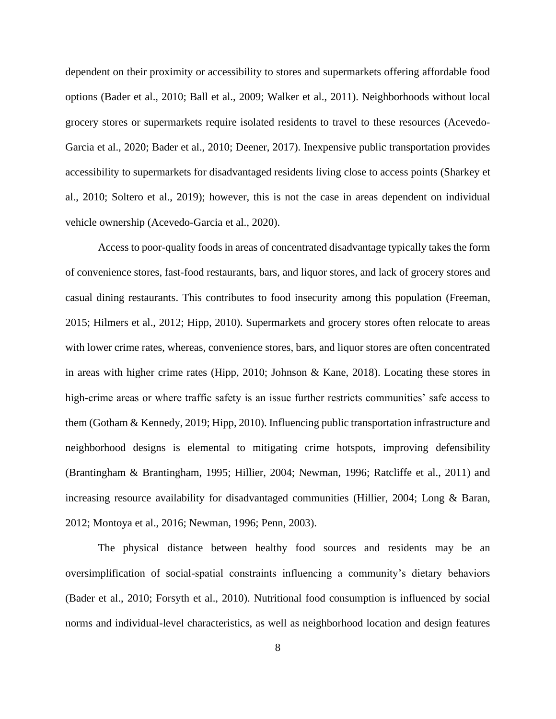dependent on their proximity or accessibility to stores and supermarkets offering affordable food options [\(Bader et al., 2010;](#page-43-5) [Ball et al., 2009;](#page-43-6) [Walker et al., 2011\)](#page-51-1). Neighborhoods without local grocery stores or supermarkets require isolated residents to travel to these resources [\(Acevedo-](#page-43-1)[Garcia et al., 2020;](#page-43-1) [Bader et al., 2010;](#page-43-5) [Deener, 2017\)](#page-45-1). Inexpensive public transportation provides accessibility to supermarkets for disadvantaged residents living close to access points [\(Sharkey et](#page-51-3)  [al., 2010;](#page-51-3) [Soltero et al., 2019\)](#page-51-4); however, this is not the case in areas dependent on individual vehicle ownership [\(Acevedo-Garcia et al., 2020\)](#page-43-1).

Access to poor-quality foods in areas of concentrated disadvantage typically takes the form of convenience stores, fast-food restaurants, bars, and liquor stores, and lack of grocery stores and casual dining restaurants. This contributes to food insecurity among this population [\(Freeman,](#page-45-3)  [2015;](#page-45-3) [Hilmers et al., 2012;](#page-46-6) [Hipp, 2010\)](#page-46-4). Supermarkets and grocery stores often relocate to areas with lower crime rates, whereas, convenience stores, bars, and liquor stores are often concentrated in areas with higher crime rates [\(Hipp, 2010;](#page-46-4) [Johnson & Kane, 2018\)](#page-47-5). Locating these stores in high-crime areas or where traffic safety is an issue further restricts communities' safe access to them [\(Gotham & Kennedy, 2019;](#page-46-7) [Hipp, 2010\)](#page-46-4). Influencing public transportation infrastructure and neighborhood designs is elemental to mitigating crime hotspots, improving defensibility [\(Brantingham & Brantingham, 1995;](#page-44-8) [Hillier, 2004;](#page-46-8) [Newman, 1996;](#page-49-3) [Ratcliffe et al., 2011\)](#page-50-4) and increasing resource availability for disadvantaged communities [\(Hillier, 2004;](#page-46-8) [Long & Baran,](#page-48-4)  [2012;](#page-48-4) [Montoya et al., 2016;](#page-48-5) [Newman, 1996;](#page-49-3) [Penn, 2003\)](#page-49-4).

The physical distance between healthy food sources and residents may be an oversimplification of social-spatial constraints influencing a community's dietary behaviors [\(Bader et al., 2010;](#page-43-5) [Forsyth et al., 2010\)](#page-45-4). Nutritional food consumption is influenced by social norms and individual-level characteristics, as well as neighborhood location and design features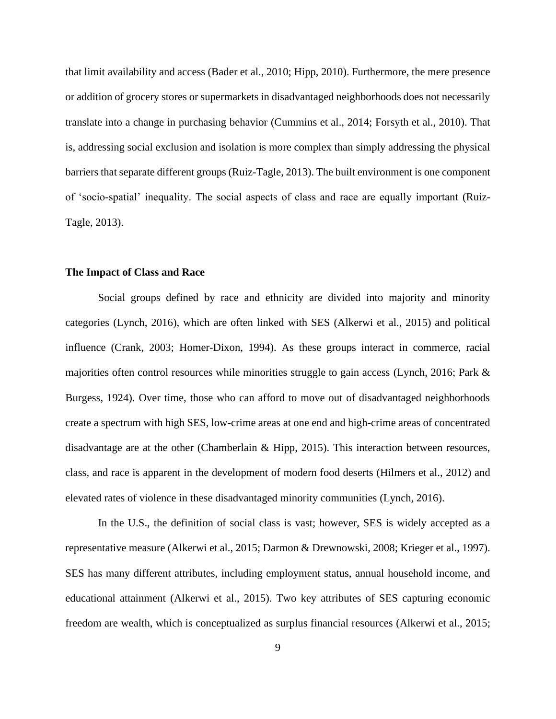that limit availability and access [\(Bader et al., 2010;](#page-43-5) [Hipp, 2010\)](#page-46-4). Furthermore, the mere presence or addition of grocery stores or supermarkets in disadvantaged neighborhoods does not necessarily translate into a change in purchasing behavior [\(Cummins et al., 2014;](#page-45-5) [Forsyth et al., 2010\)](#page-45-4). That is, addressing social exclusion and isolation is more complex than simply addressing the physical barriers that separate different groups [\(Ruiz-Tagle, 2013\)](#page-50-5). The built environment is one component of 'socio-spatial' inequality. The social aspects of class and race are equally important [\(Ruiz-](#page-50-5)[Tagle, 2013\)](#page-50-5).

#### **The Impact of Class and Race**

Social groups defined by race and ethnicity are divided into majority and minority categories [\(Lynch, 2016\)](#page-48-0), which are often linked with SES [\(Alkerwi et al., 2015\)](#page-43-2) and political influence [\(Crank, 2003;](#page-45-0) [Homer-Dixon, 1994\)](#page-46-0). As these groups interact in commerce, racial majorities often control resources while minorities struggle to gain access [\(Lynch, 2016;](#page-48-0) [Park &](#page-49-0)  [Burgess, 1924\)](#page-49-0). Over time, those who can afford to move out of disadvantaged neighborhoods create a spectrum with high SES, low-crime areas at one end and high-crime areas of concentrated disadvantage are at the other [\(Chamberlain & Hipp, 2015\)](#page-44-9). This interaction between resources, class, and race is apparent in the development of modern food deserts [\(Hilmers et](#page-46-6) al., 2012) and elevated rates of violence in these disadvantaged minority communities [\(Lynch, 2016\)](#page-48-0).

In the U.S., the definition of social class is vast; however, SES is widely accepted as a representative measure [\(Alkerwi et al., 2015;](#page-43-2) [Darmon & Drewnowski, 2008;](#page-45-6) [Krieger et al., 1997\)](#page-47-0). SES has many different attributes, including employment status, annual household income, and educational attainment [\(Alkerwi et al., 2015\)](#page-43-2). Two key attributes of SES capturing economic freedom are wealth, which is conceptualized as surplus financial resources [\(Alkerwi et al., 2015;](#page-43-2)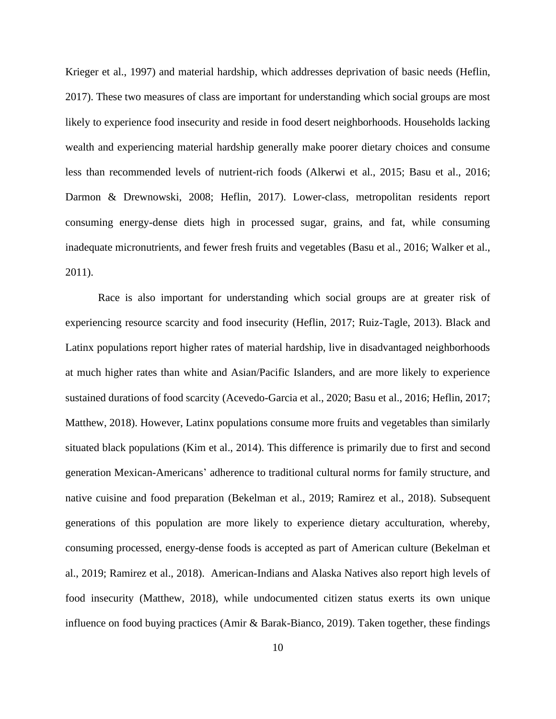[Krieger et al., 1997\)](#page-47-0) and material hardship, which addresses deprivation of basic needs [\(Heflin,](#page-46-2)  [2017\)](#page-46-2). These two measures of class are important for understanding which social groups are most likely to experience food insecurity and reside in food desert neighborhoods. Households lacking wealth and experiencing material hardship generally make poorer dietary choices and consume less than recommended levels of nutrient-rich foods [\(Alkerwi et al., 2015;](#page-43-2) [Basu et al., 2016;](#page-43-7) [Darmon & Drewnowski, 2008;](#page-45-6) [Heflin, 2017\)](#page-46-2). Lower-class, metropolitan residents report consuming energy-dense diets high in processed sugar, grains, and fat, while consuming inadequate micronutrients, and fewer fresh fruits and vegetables [\(Basu et al., 2016;](#page-43-7) [Walker et al.,](#page-51-1)  [2011\)](#page-51-1).

Race is also important for understanding which social groups are at greater risk of experiencing resource scarcity and food insecurity [\(Heflin, 2017;](#page-46-2) [Ruiz-Tagle, 2013\)](#page-50-5). Black and Latinx populations report higher rates of material hardship, live in disadvantaged neighborhoods at much higher rates than white and Asian/Pacific Islanders, and are more likely to experience sustained durations of food scarcity [\(Acevedo-Garcia et al., 2020;](#page-43-1) [Basu et al., 2016;](#page-43-7) [Heflin, 2017;](#page-46-2) [Matthew, 2018\)](#page-48-1). However, Latinx populations consume more fruits and vegetables than similarly situated black populations [\(Kim et al., 2014\)](#page-47-6). This difference is primarily due to first and second generation Mexican-Americans' adherence to traditional cultural norms for family structure, and native cuisine and food preparation [\(Bekelman et al., 2019;](#page-44-10) [Ramirez et al., 2018\)](#page-50-6). Subsequent generations of this population are more likely to experience dietary acculturation, whereby, consuming processed, energy-dense foods is accepted as part of American culture [\(Bekelman et](#page-44-10)  [al., 2019;](#page-44-10) [Ramirez et al., 2018\)](#page-50-6). American-Indians and Alaska Natives also report high levels of food insecurity [\(Matthew, 2018\)](#page-48-1), while undocumented citizen status exerts its own unique influence on food buying practices [\(Amir & Barak-Bianco, 2019\)](#page-43-0). Taken together, these findings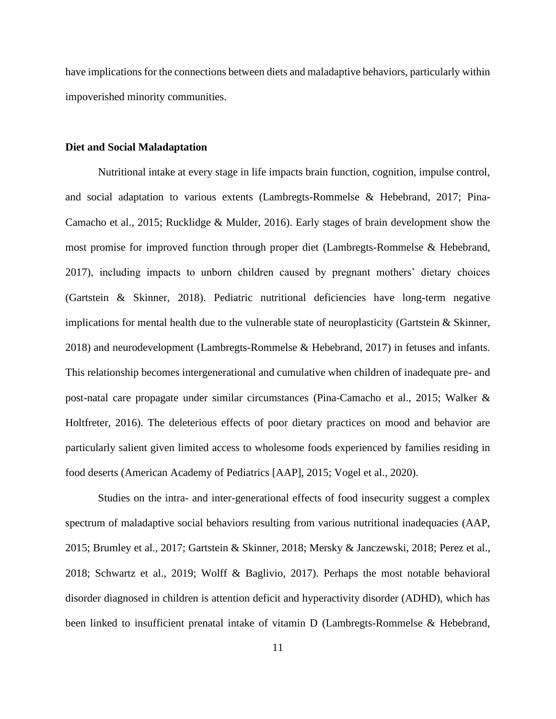have implications for the connections between diets and maladaptive behaviors, particularly within impoverished minority communities.

#### **Diet and Social Maladaptation**

Nutritional intake at every stage in life impacts brain function, cognition, impulse control, and social adaptation to various extents [\(Lambregts-Rommelse & Hebebrand, 2017;](#page-48-6) [Pina-](#page-49-5)[Camacho et al., 2015;](#page-49-5) [Rucklidge & Mulder, 2016\)](#page-50-7). Early stages of brain development show the most promise for improved function through proper diet [\(Lambregts-Rommelse & Hebebrand,](#page-48-6)  [2017\)](#page-48-6), including impacts to unborn children caused by pregnant mothers' dietary choices [\(Gartstein & Skinner, 2018\)](#page-45-7). Pediatric nutritional deficiencies have long-term negative implications for mental health due to the vulnerable state of neuroplasticity [\(Gartstein & Skinner,](#page-45-7)  [2018\)](#page-45-7) and neurodevelopment [\(Lambregts-Rommelse](#page-48-6) & Hebebrand, 2017) in fetuses and infants. This relationship becomes intergenerational and cumulative when children of inadequate pre- and post-natal care propagate under similar circumstances [\(Pina-Camacho et al., 2015;](#page-49-5) [Walker &](#page-51-5)  [Holtfreter, 2016\)](#page-51-5). The deleterious effects of poor dietary practices on mood and behavior are particularly salient given limited access to wholesome foods experienced by families residing in food deserts [\(American Academy of Pediatrics \[AAP\], 2015;](#page-43-8) [Vogel et al., 2020\)](#page-51-6).

Studies on the intra- and inter-generational effects of food insecurity suggest a complex spectrum of maladaptive social behaviors resulting from various nutritional inadequacies [\(AAP,](#page-43-8)  [2015;](#page-43-8) [Brumley et al., 2017;](#page-44-11) [Gartstein & Skinner, 2018;](#page-45-7) [Mersky & Janczewski, 2018;](#page-48-7) [Perez et al.,](#page-49-6)  [2018;](#page-49-6) [Schwartz et al., 2019;](#page-50-8) [Wolff & Baglivio, 2017\)](#page-52-4). Perhaps the most notable behavioral disorder diagnosed in children is attention deficit and hyperactivity disorder (ADHD), which has been linked to insufficient prenatal intake of vitamin D [\(Lambregts-Rommelse & Hebebrand,](#page-48-6)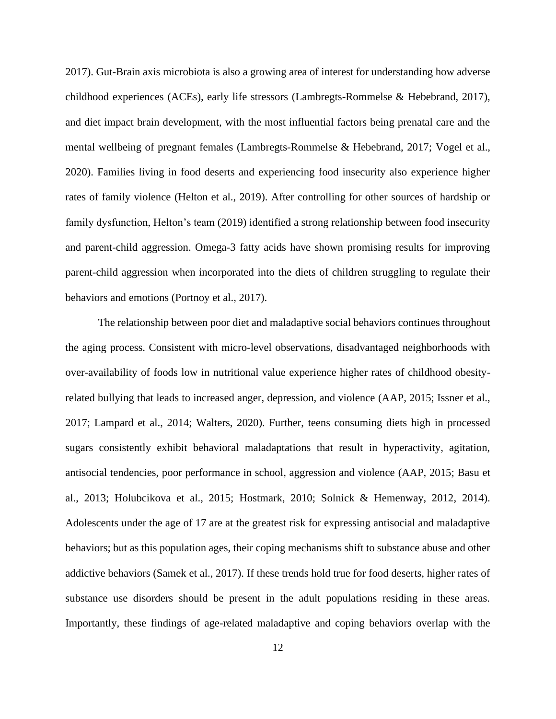[2017\)](#page-48-6). Gut-Brain axis microbiota is also a growing area of interest for understanding how adverse childhood experiences (ACEs), early life stressors [\(Lambregts-Rommelse & Hebebrand, 2017\)](#page-48-6), and diet impact brain development, with the most influential factors being prenatal care and the mental wellbeing of pregnant females [\(Lambregts-Rommelse & Hebebrand, 2017;](#page-48-6) [Vogel et al.,](#page-51-6)  [2020\)](#page-51-6). Families living in food deserts and experiencing food insecurity also experience higher rates of family violence [\(Helton et al., 2019\)](#page-46-1). After controlling for other sources of hardship or family dysfunction, Helton's team [\(2019\)](#page-46-1) identified a strong relationship between food insecurity and parent-child aggression. Omega-3 fatty acids have shown promising results for improving parent-child aggression when incorporated into the diets of children struggling to regulate their behaviors and emotions [\(Portnoy et al., 2017\)](#page-49-7).

The relationship between poor diet and maladaptive social behaviors continues throughout the aging process. Consistent with micro-level observations, disadvantaged neighborhoods with over-availability of foods low in nutritional value experience higher rates of childhood obesityrelated bullying that leads to increased anger, depression, and violence [\(AAP, 2015;](#page-43-8) [Issner et al.,](#page-47-7)  [2017;](#page-47-7) [Lampard et al., 2014;](#page-48-8) [Walters, 2020\)](#page-52-5). Further, teens consuming diets high in processed sugars consistently exhibit behavioral maladaptations that result in hyperactivity, agitation, antisocial tendencies, poor performance in school, aggression and violence (AAP, [2015;](#page-43-8) [Basu et](#page-43-9)  [al., 2013;](#page-43-9) [Holubcikova et al., 2015;](#page-46-9) [Hostmark, 2010;](#page-47-8) [Solnick & Hemenway, 2012,](#page-51-7) [2014\)](#page-51-8). Adolescents under the age of 17 are at the greatest risk for expressing antisocial and maladaptive behaviors; but as this population ages, their coping mechanisms shift to substance abuse and other addictive behaviors [\(Samek et al., 2017\)](#page-50-9). If these trends hold true for food deserts, higher rates of substance use disorders should be present in the adult populations residing in these areas. Importantly, these findings of age-related maladaptive and coping behaviors overlap with the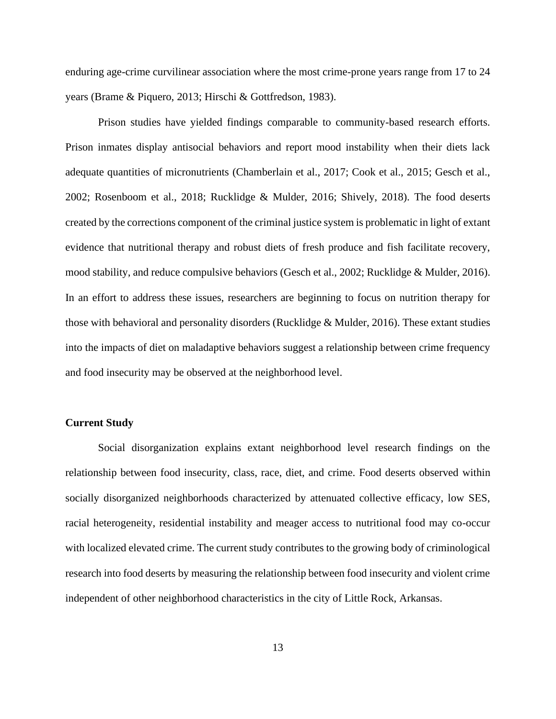enduring age-crime curvilinear association where the most crime-prone years range from 17 to 24 years [\(Brame & Piquero, 2013;](#page-44-12) [Hirschi & Gottfredson, 1983\)](#page-46-10).

Prison studies have yielded findings comparable to community-based research efforts. Prison inmates display antisocial behaviors and report mood instability when their diets lack adequate quantities of micronutrients [\(Chamberlain et al., 2017;](#page-44-13) [Cook et al., 2015;](#page-45-8) [Gesch et al.,](#page-45-9)  [2002;](#page-45-9) [Rosenboom et al., 2018;](#page-50-10) [Rucklidge & Mulder, 2016;](#page-50-7) [Shively, 2018\)](#page-51-9). The food deserts created by the corrections component of the criminal justice system is problematic in light of extant evidence that nutritional therapy and robust diets of fresh produce and fish facilitate recovery, mood stability, and reduce compulsive behaviors [\(Gesch et al., 2002;](#page-45-9) [Rucklidge & Mulder, 2016\)](#page-50-7). In an effort to address these issues, researchers are beginning to focus on nutrition therapy for those with behavioral and personality disorders (Rucklidge  $\&$  Mulder, 2016). These extant studies into the impacts of diet on maladaptive behaviors suggest a relationship between crime frequency and food insecurity may be observed at the neighborhood level.

## **Current Study**

Social disorganization explains extant neighborhood level research findings on the relationship between food insecurity, class, race, diet, and crime. Food deserts observed within socially disorganized neighborhoods characterized by attenuated collective efficacy, low SES, racial heterogeneity, residential instability and meager access to nutritional food may co-occur with localized elevated crime. The current study contributes to the growing body of criminological research into food deserts by measuring the relationship between food insecurity and violent crime independent of other neighborhood characteristics in the city of Little Rock, Arkansas.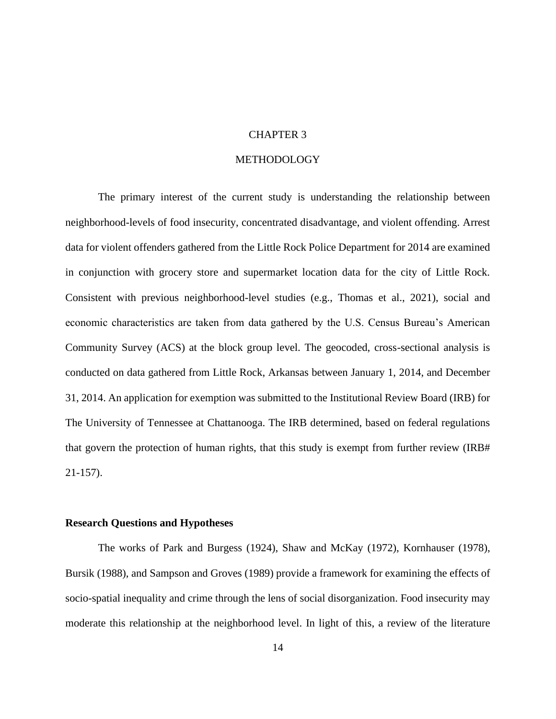## CHAPTER 3

## METHODOLOGY

The primary interest of the current study is understanding the relationship between neighborhood-levels of food insecurity, concentrated disadvantage, and violent offending. Arrest data for violent offenders gathered from the Little Rock Police Department for 2014 are examined in conjunction with grocery store and supermarket location data for the city of Little Rock. Consistent with previous neighborhood-level studies [\(e.g., Thomas et al., 2021\)](#page-51-10), social and economic characteristics are taken from data gathered by the U.S. Census Bureau's American Community Survey (ACS) at the block group level. The geocoded, cross-sectional analysis is conducted on data gathered from Little Rock, Arkansas between January 1, 2014, and December 31, 2014. An application for exemption was submitted to the Institutional Review Board (IRB) for The University of Tennessee at Chattanooga. The IRB determined, based on federal regulations that govern the protection of human rights, that this study is exempt from further review (IRB# 21-157).

#### **Research Questions and Hypotheses**

The works of Park and Burgess [\(1924\)](#page-49-0), Shaw and McKay [\(1972\)](#page-51-0), Kornhauser [\(1978\)](#page-47-2), Bursik [\(1988\)](#page-44-2), and Sampson and Groves [\(1989\)](#page-50-0) provide a framework for examining the effects of socio-spatial inequality and crime through the lens of social disorganization. Food insecurity may moderate this relationship at the neighborhood level. In light of this, a review of the literature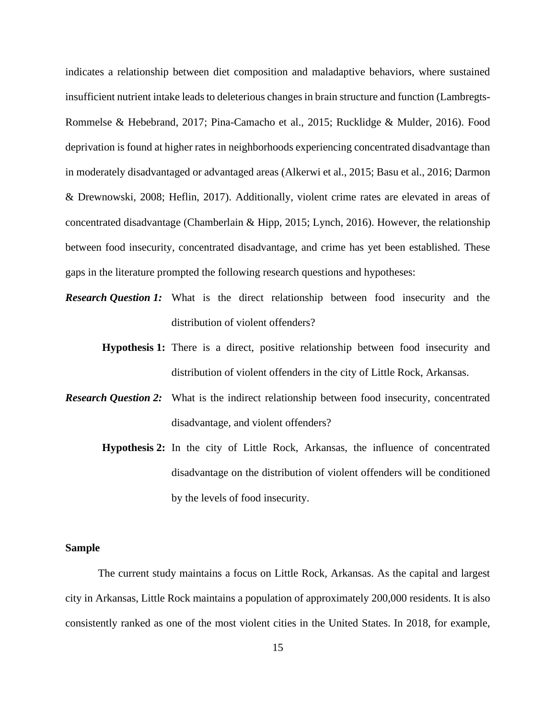indicates a relationship between diet composition and maladaptive behaviors, where sustained insufficient nutrient intake leads to deleterious changes in brain structure and function [\(Lambregts-](#page-48-6)[Rommelse & Hebebrand, 2017;](#page-48-6) [Pina-Camacho et al., 2015;](#page-49-5) [Rucklidge & Mulder, 2016\)](#page-50-7). Food deprivation is found at higher rates in neighborhoods experiencing concentrated disadvantage than in moderately disadvantaged or advantaged areas [\(Alkerwi et al., 2015;](#page-43-2) [Basu et al., 2016;](#page-43-7) [Darmon](#page-45-6)  [& Drewnowski, 2008;](#page-45-6) [Heflin, 2017\)](#page-46-2). Additionally, violent crime rates are elevated in areas of concentrated disadvantage [\(Chamberlain & Hipp, 2015;](#page-44-9) [Lynch, 2016\)](#page-48-0). However, the relationship between food insecurity, concentrated disadvantage, and crime has yet been established. These gaps in the literature prompted the following research questions and hypotheses:

- **Research Question 1:** What is the direct relationship between food insecurity and the distribution of violent offenders?
	- **Hypothesis 1:** There is a direct, positive relationship between food insecurity and distribution of violent offenders in the city of Little Rock, Arkansas.
- **Research Question 2:** What is the indirect relationship between food insecurity, concentrated disadvantage, and violent offenders?
	- **Hypothesis 2:** In the city of Little Rock, Arkansas, the influence of concentrated disadvantage on the distribution of violent offenders will be conditioned by the levels of food insecurity.

#### **Sample**

The current study maintains a focus on Little Rock, Arkansas. As the capital and largest city in Arkansas, Little Rock maintains a population of approximately 200,000 residents. It is also consistently ranked as one of the most violent cities in the United States. In 2018, for example,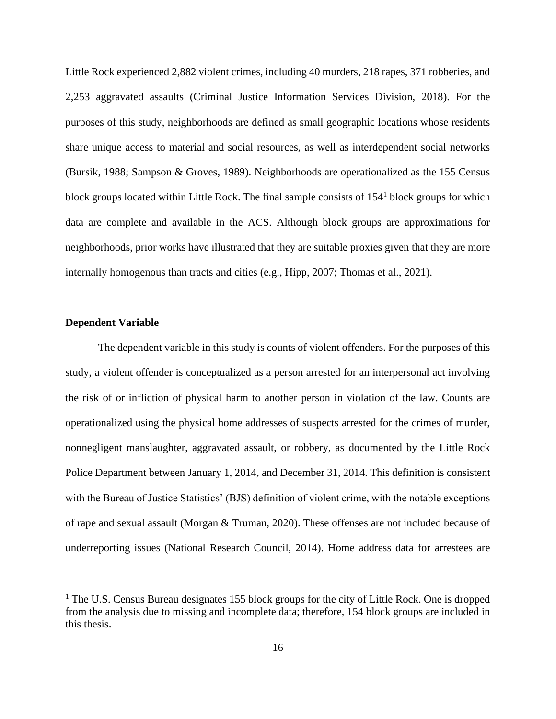Little Rock experienced 2,882 violent crimes, including 40 murders, 218 rapes, 371 robberies, and 2,253 aggravated assaults [\(Criminal Justice Information Services Division, 2018\)](#page-45-10). For the purposes of this study, neighborhoods are defined as small geographic locations whose residents share unique access to material and social resources, as well as interdependent social networks [\(Bursik, 1988;](#page-44-2) [Sampson & Groves, 1989\)](#page-50-0). Neighborhoods are operationalized as the 155 Census block groups located within Little Rock. The final sample consists of 154<sup>1</sup> block groups for which data are complete and available in the ACS. Although block groups are approximations for neighborhoods, prior works have illustrated that they are suitable proxies given that they are more internally homogenous than tracts and cities (e.g., [Hipp, 2007;](#page-46-3) [Thomas et al., 2021\)](#page-51-10).

## **Dependent Variable**

The dependent variable in this study is counts of violent offenders. For the purposes of this study, a violent offender is conceptualized as a person arrested for an interpersonal act involving the risk of or infliction of physical harm to another person in violation of the law. Counts are operationalized using the physical home addresses of suspects arrested for the crimes of murder, nonnegligent manslaughter, aggravated assault, or robbery, as documented by the Little Rock Police Department between January 1, 2014, and December 31, 2014. This definition is consistent with the Bureau of Justice Statistics' (BJS) definition of violent crime, with the notable exceptions of rape and sexual assault [\(Morgan & Truman, 2020\)](#page-49-8). These offenses are not included because of underreporting issues [\(National Research Council, 2014\)](#page-49-9). Home address data for arrestees are

<sup>&</sup>lt;sup>1</sup> The U.S. Census Bureau designates 155 block groups for the city of Little Rock. One is dropped from the analysis due to missing and incomplete data; therefore, 154 block groups are included in this thesis.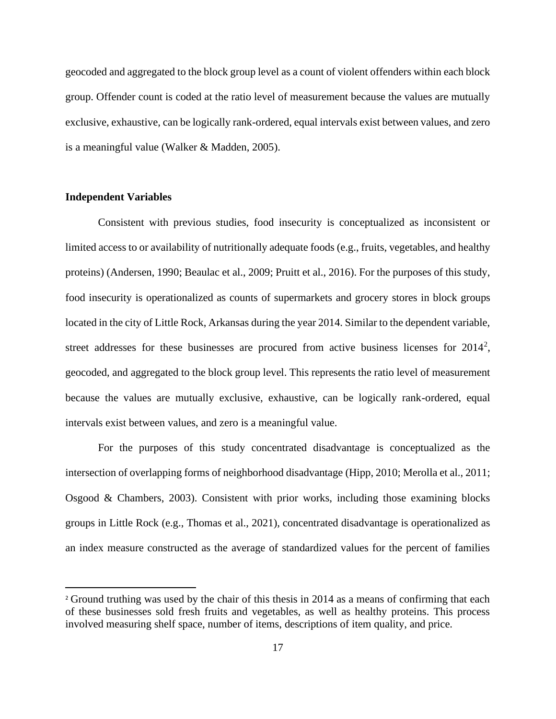geocoded and aggregated to the block group level as a count of violent offenders within each block group. Offender count is coded at the ratio level of measurement because the values are mutually exclusive, exhaustive, can be logically rank-ordered, equal intervals exist between values, and zero is a meaningful value [\(Walker & Madden, 2005\)](#page-51-11).

## **Independent Variables**

Consistent with previous studies, food insecurity is conceptualized as inconsistent or limited access to or availability of nutritionally adequate foods (e.g., fruits, vegetables, and healthy proteins) [\(Andersen, 1990;](#page-43-3) [Beaulac et al., 2009;](#page-44-0) [Pruitt et al., 2016\)](#page-49-1). For the purposes of this study, food insecurity is operationalized as counts of supermarkets and grocery stores in block groups located in the city of Little Rock, Arkansas during the year 2014. Similar to the dependent variable, street addresses for these businesses are procured from active business licenses for 2014<sup>2</sup>, geocoded, and aggregated to the block group level. This represents the ratio level of measurement because the values are mutually exclusive, exhaustive, can be logically rank-ordered, equal intervals exist between values, and zero is a meaningful value.

For the purposes of this study concentrated disadvantage is conceptualized as the intersection of overlapping forms of neighborhood disadvantage [\(Hipp, 2010;](#page-46-4) [Merolla et al., 2011;](#page-48-9) [Osgood & Chambers, 2003\)](#page-49-10). Consistent with prior works, including those examining blocks groups in Little Rock [\(e.g., Thomas et al., 2021\)](#page-51-10), concentrated disadvantage is operationalized as an index measure constructed as the average of standardized values for the percent of families

<sup>&</sup>lt;sup>2</sup> Ground truthing was used by the chair of this thesis in 2014 as a means of confirming that each of these businesses sold fresh fruits and vegetables, as well as healthy proteins. This process involved measuring shelf space, number of items, descriptions of item quality, and price.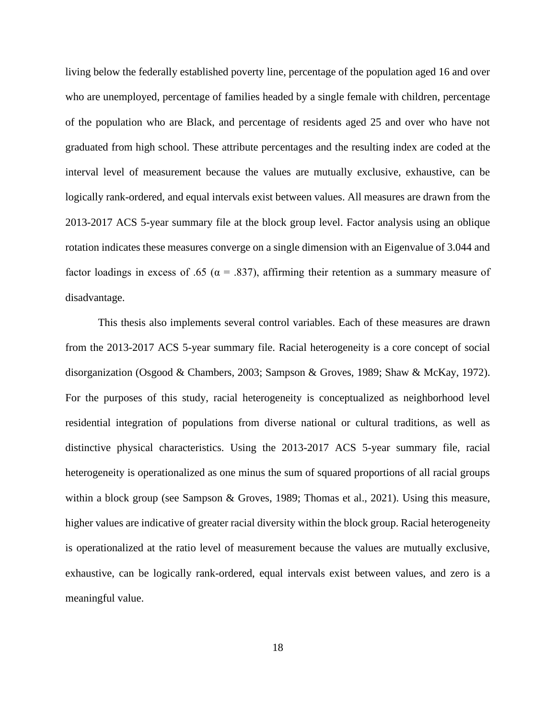living below the federally established poverty line, percentage of the population aged 16 and over who are unemployed, percentage of families headed by a single female with children, percentage of the population who are Black, and percentage of residents aged 25 and over who have not graduated from high school. These attribute percentages and the resulting index are coded at the interval level of measurement because the values are mutually exclusive, exhaustive, can be logically rank-ordered, and equal intervals exist between values. All measures are drawn from the 2013-2017 ACS 5-year summary file at the block group level. Factor analysis using an oblique rotation indicates these measures converge on a single dimension with an Eigenvalue of 3.044 and factor loadings in excess of .65 ( $\alpha$  = .837), affirming their retention as a summary measure of disadvantage.

This thesis also implements several control variables. Each of these measures are drawn from the 2013-2017 ACS 5-year summary file. Racial heterogeneity is a core concept of social disorganization [\(Osgood & Chambers, 2003;](#page-49-10) [Sampson & Groves, 1989;](#page-50-0) [Shaw & McKay, 1972\)](#page-51-0). For the purposes of this study, racial heterogeneity is conceptualized as neighborhood level residential integration of populations from diverse national or cultural traditions, as well as distinctive physical characteristics. Using the 2013-2017 ACS 5-year summary file, racial heterogeneity is operationalized as one minus the sum of squared proportions of all racial groups within a block group (see [Sampson & Groves, 1989;](#page-50-0) [Thomas et al., 2021\)](#page-51-10). Using this measure, higher values are indicative of greater racial diversity within the block group. Racial heterogeneity is operationalized at the ratio level of measurement because the values are mutually exclusive, exhaustive, can be logically rank-ordered, equal intervals exist between values, and zero is a meaningful value.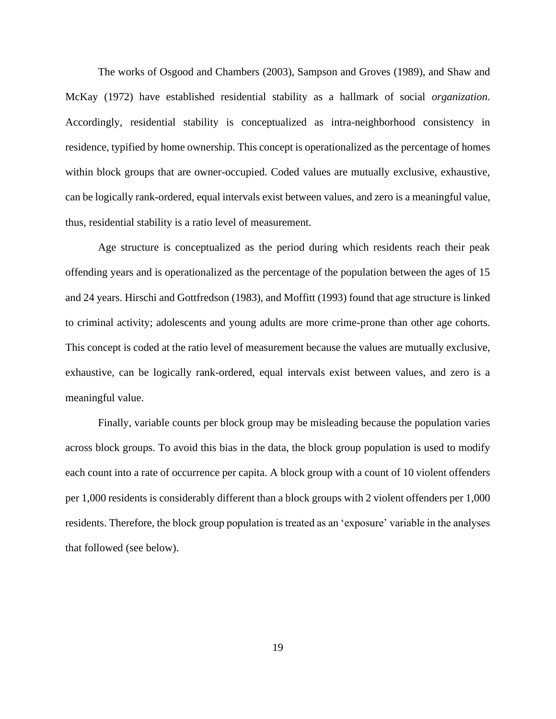The works of Osgood and Chambers [\(2003\)](#page-49-10), Sampson and Groves [\(1989\)](#page-50-0), and Shaw and McKay [\(1972\)](#page-51-0) have established residential stability as a hallmark of social *organization*. Accordingly, residential stability is conceptualized as intra-neighborhood consistency in residence, typified by home ownership. This concept is operationalized as the percentage of homes within block groups that are owner-occupied. Coded values are mutually exclusive, exhaustive, can be logically rank-ordered, equal intervals exist between values, and zero is a meaningful value, thus, residential stability is a ratio level of measurement.

Age structure is conceptualized as the period during which residents reach their peak offending years and is operationalized as the percentage of the population between the ages of 15 and 24 years. Hirschi and Gottfredson [\(1983\)](#page-46-10), and Moffitt [\(1993\)](#page-48-10) found that age structure is linked to criminal activity; adolescents and young adults are more crime-prone than other age cohorts. This concept is coded at the ratio level of measurement because the values are mutually exclusive, exhaustive, can be logically rank-ordered, equal intervals exist between values, and zero is a meaningful value.

Finally, variable counts per block group may be misleading because the population varies across block groups. To avoid this bias in the data, the block group population is used to modify each count into a rate of occurrence per capita. A block group with a count of 10 violent offenders per 1,000 residents is considerably different than a block groups with 2 violent offenders per 1,000 residents. Therefore, the block group population is treated as an 'exposure' variable in the analyses that followed (see below).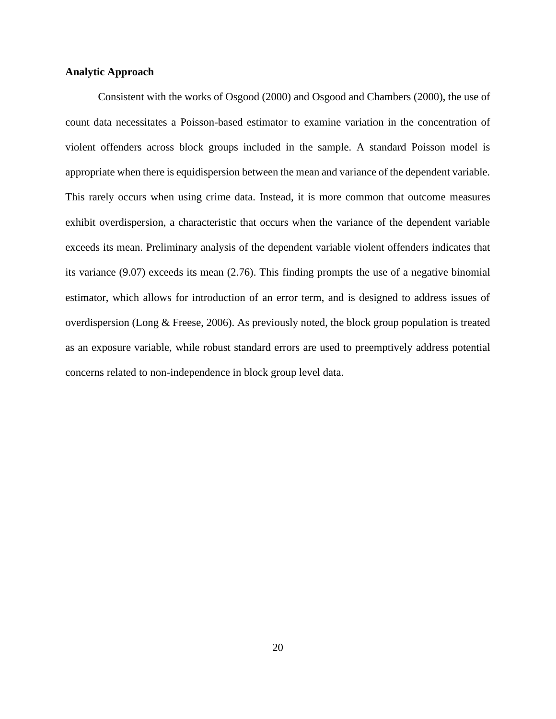## **Analytic Approach**

Consistent with the works of Osgood [\(2000\)](#page-49-11) and Osgood and Chambers [\(2000\)](#page-49-12), the use of count data necessitates a Poisson-based estimator to examine variation in the concentration of violent offenders across block groups included in the sample. A standard Poisson model is appropriate when there is equidispersion between the mean and variance of the dependent variable. This rarely occurs when using crime data. Instead, it is more common that outcome measures exhibit overdispersion, a characteristic that occurs when the variance of the dependent variable exceeds its mean. Preliminary analysis of the dependent variable violent offenders indicates that its variance (9.07) exceeds its mean (2.76). This finding prompts the use of a negative binomial estimator, which allows for introduction of an error term, and is designed to address issues of overdispersion [\(Long & Freese, 2006\)](#page-48-11). As previously noted, the block group population is treated as an exposure variable, while robust standard errors are used to preemptively address potential concerns related to non-independence in block group level data.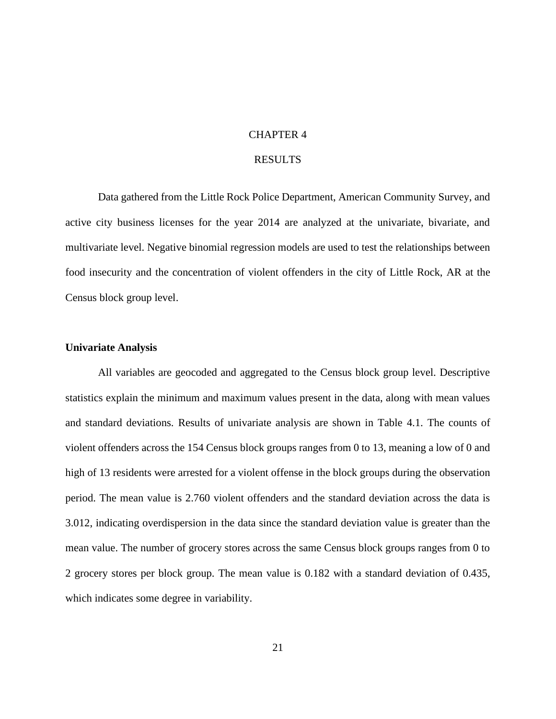#### CHAPTER 4

## **RESULTS**

Data gathered from the Little Rock Police Department, American Community Survey, and active city business licenses for the year 2014 are analyzed at the univariate, bivariate, and multivariate level. Negative binomial regression models are used to test the relationships between food insecurity and the concentration of violent offenders in the city of Little Rock, AR at the Census block group level.

#### **Univariate Analysis**

All variables are geocoded and aggregated to the Census block group level. Descriptive statistics explain the minimum and maximum values present in the data, along with mean values and standard deviations. Results of univariate analysis are shown in Table 4.1. The counts of violent offenders across the 154 Census block groups ranges from 0 to 13, meaning a low of 0 and high of 13 residents were arrested for a violent offense in the block groups during the observation period. The mean value is 2.760 violent offenders and the standard deviation across the data is 3.012, indicating overdispersion in the data since the standard deviation value is greater than the mean value. The number of grocery stores across the same Census block groups ranges from 0 to 2 grocery stores per block group. The mean value is 0.182 with a standard deviation of 0.435, which indicates some degree in variability.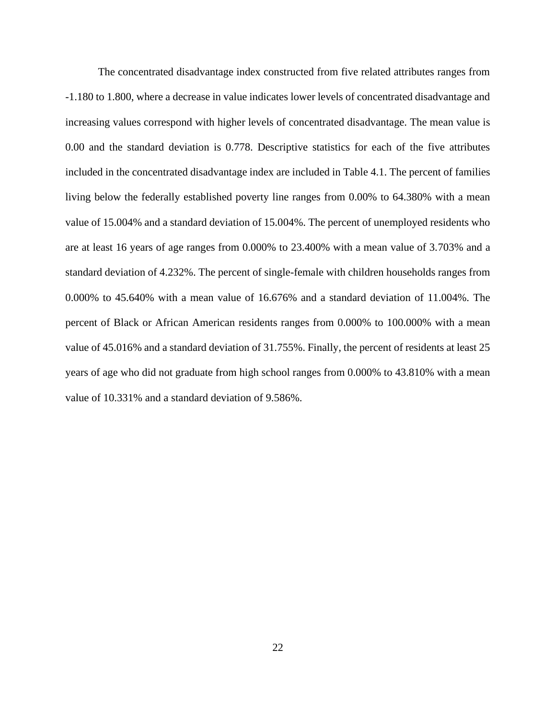The concentrated disadvantage index constructed from five related attributes ranges from -1.180 to 1.800, where a decrease in value indicates lower levels of concentrated disadvantage and increasing values correspond with higher levels of concentrated disadvantage. The mean value is 0.00 and the standard deviation is 0.778. Descriptive statistics for each of the five attributes included in the concentrated disadvantage index are included in Table 4.1. The percent of families living below the federally established poverty line ranges from 0.00% to 64.380% with a mean value of 15.004% and a standard deviation of 15.004%. The percent of unemployed residents who are at least 16 years of age ranges from 0.000% to 23.400% with a mean value of 3.703% and a standard deviation of 4.232%. The percent of single-female with children households ranges from 0.000% to 45.640% with a mean value of 16.676% and a standard deviation of 11.004%. The percent of Black or African American residents ranges from 0.000% to 100.000% with a mean value of 45.016% and a standard deviation of 31.755%. Finally, the percent of residents at least 25 years of age who did not graduate from high school ranges from 0.000% to 43.810% with a mean value of 10.331% and a standard deviation of 9.586%.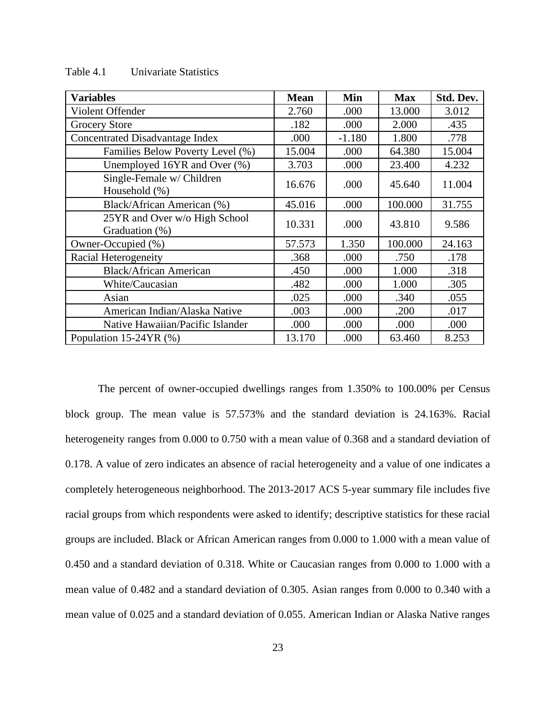| <b>Variables</b>                                | <b>Mean</b> | Min      | <b>Max</b> | Std. Dev. |
|-------------------------------------------------|-------------|----------|------------|-----------|
| Violent Offender                                | 2.760       | .000     | 13.000     | 3.012     |
| <b>Grocery Store</b>                            | .182        | .000     | 2.000      | .435      |
| Concentrated Disadvantage Index                 | .000        | $-1.180$ | 1.800      | .778      |
| Families Below Poverty Level (%)                | 15.004      | .000     | 64.380     | 15.004    |
| Unemployed 16YR and Over (%)                    | 3.703       | .000     | 23.400     | 4.232     |
| Single-Female w/ Children<br>Household (%)      | 16.676      | .000     | 45.640     | 11.004    |
| Black/African American (%)                      | 45.016      | .000     | 100.000    | 31.755    |
| 25YR and Over w/o High School<br>Graduation (%) | 10.331      | .000     | 43.810     | 9.586     |
| Owner-Occupied (%)                              | 57.573      | 1.350    | 100.000    | 24.163    |
| Racial Heterogeneity                            | .368        | .000     | .750       | .178      |
| <b>Black/African American</b>                   | .450        | .000     | 1.000      | .318      |
| White/Caucasian                                 | .482        | .000     | 1.000      | .305      |
| Asian                                           | .025        | .000     | .340       | .055      |
| American Indian/Alaska Native                   | .003        | .000     | .200       | .017      |
| Native Hawaiian/Pacific Islander                | .000        | .000     | .000       | .000      |
| Population $15-24YR$ (%)                        | 13.170      | .000     | 63.460     | 8.253     |

Table 4.1 Univariate Statistics

The percent of owner-occupied dwellings ranges from 1.350% to 100.00% per Census block group. The mean value is 57.573% and the standard deviation is 24.163%. Racial heterogeneity ranges from 0.000 to 0.750 with a mean value of 0.368 and a standard deviation of 0.178. A value of zero indicates an absence of racial heterogeneity and a value of one indicates a completely heterogeneous neighborhood. The 2013-2017 ACS 5-year summary file includes five racial groups from which respondents were asked to identify; descriptive statistics for these racial groups are included. Black or African American ranges from 0.000 to 1.000 with a mean value of 0.450 and a standard deviation of 0.318. White or Caucasian ranges from 0.000 to 1.000 with a mean value of 0.482 and a standard deviation of 0.305. Asian ranges from 0.000 to 0.340 with a mean value of 0.025 and a standard deviation of 0.055. American Indian or Alaska Native ranges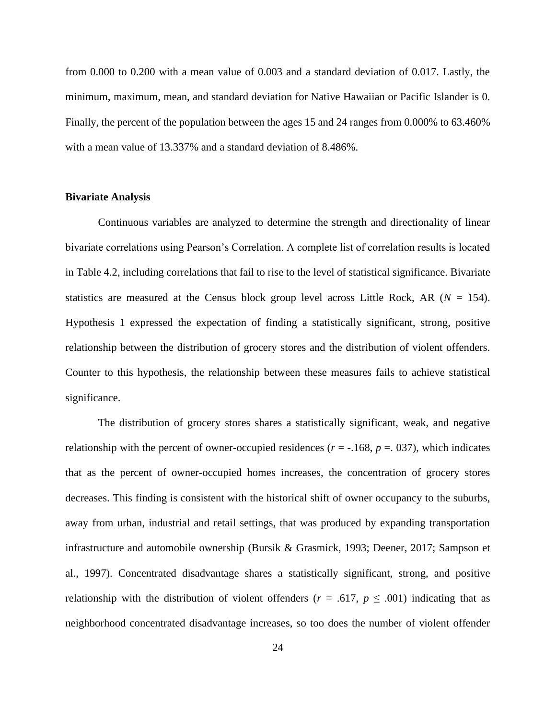from 0.000 to 0.200 with a mean value of 0.003 and a standard deviation of 0.017. Lastly, the minimum, maximum, mean, and standard deviation for Native Hawaiian or Pacific Islander is 0. Finally, the percent of the population between the ages 15 and 24 ranges from 0.000% to 63.460% with a mean value of 13.337% and a standard deviation of 8.486%.

## **Bivariate Analysis**

Continuous variables are analyzed to determine the strength and directionality of linear bivariate correlations using Pearson's Correlation. A complete list of correlation results is located in Table 4.2, including correlations that fail to rise to the level of statistical significance. Bivariate statistics are measured at the Census block group level across Little Rock, AR (*N* = 154). Hypothesis 1 expressed the expectation of finding a statistically significant, strong, positive relationship between the distribution of grocery stores and the distribution of violent offenders. Counter to this hypothesis, the relationship between these measures fails to achieve statistical significance.

The distribution of grocery stores shares a statistically significant, weak, and negative relationship with the percent of owner-occupied residences ( $r = -168$ ,  $p = 0.037$ ), which indicates that as the percent of owner-occupied homes increases, the concentration of grocery stores decreases. This finding is consistent with the historical shift of owner occupancy to the suburbs, away from urban, industrial and retail settings, that was produced by expanding transportation infrastructure and automobile ownership [\(Bursik & Grasmick, 1993;](#page-44-5) [Deener, 2017;](#page-45-1) [Sampson et](#page-50-1)  [al., 1997\)](#page-50-1). Concentrated disadvantage shares a statistically significant, strong, and positive relationship with the distribution of violent offenders ( $r = .617$ ,  $p \le .001$ ) indicating that as neighborhood concentrated disadvantage increases, so too does the number of violent offender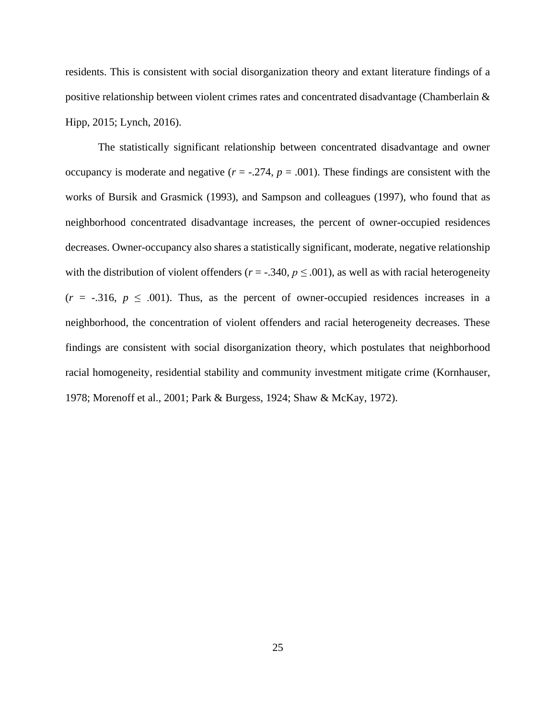residents. This is consistent with social disorganization theory and extant literature findings of a positive relationship between violent crimes rates and concentrated disadvantage [\(Chamberlain &](#page-44-9)  [Hipp, 2015;](#page-44-9) [Lynch, 2016\)](#page-48-0).

The statistically significant relationship between concentrated disadvantage and owner occupancy is moderate and negative  $(r = -.274, p = .001)$ . These findings are consistent with the works of Bursik and Grasmick [\(1993\)](#page-44-5), and Sampson and colleagues [\(1997\)](#page-50-1), who found that as neighborhood concentrated disadvantage increases, the percent of owner-occupied residences decreases. Owner-occupancy also shares a statistically significant, moderate, negative relationship with the distribution of violent offenders ( $r = -0.340$ ,  $p \le 0.001$ ), as well as with racial heterogeneity  $(r = -.316, p \le .001)$ . Thus, as the percent of owner-occupied residences increases in a neighborhood, the concentration of violent offenders and racial heterogeneity decreases. These findings are consistent with social disorganization theory, which postulates that neighborhood racial homogeneity, residential stability and community investment mitigate crime [\(Kornhauser,](#page-47-2)  [1978;](#page-47-2) [Morenoff et al., 2001;](#page-49-2) [Park & Burgess, 1924;](#page-49-0) [Shaw & McKay, 1972\)](#page-51-0).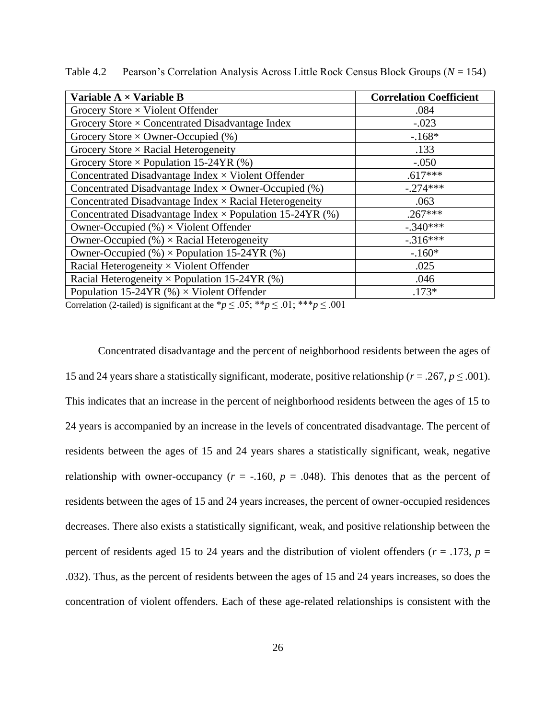| Variable $A \times$ Variable B                                  | <b>Correlation Coefficient</b> |
|-----------------------------------------------------------------|--------------------------------|
| Grocery Store $\times$ Violent Offender                         | .084                           |
| Grocery Store $\times$ Concentrated Disadvantage Index          | $-.023$                        |
| Grocery Store $\times$ Owner-Occupied (%)                       | $-.168*$                       |
| Grocery Store $\times$ Racial Heterogeneity                     | .133                           |
| Grocery Store $\times$ Population 15-24YR (%)                   | $-.050$                        |
| Concentrated Disadvantage Index $\times$ Violent Offender       | $.617***$                      |
| Concentrated Disadvantage Index $\times$ Owner-Occupied (%)     | $-.274***$                     |
| Concentrated Disadvantage Index $\times$ Racial Heterogeneity   | .063                           |
| Concentrated Disadvantage Index $\times$ Population 15-24YR (%) | $.267***$                      |
| Owner-Occupied $(\%)\times$ Violent Offender                    | $-.340***$                     |
| Owner-Occupied $(\%) \times$ Racial Heterogeneity               | $-316***$                      |
| Owner-Occupied $(\%) \times$ Population 15-24YR $(\%)$          | $-.160*$                       |
| Racial Heterogeneity $\times$ Violent Offender                  | .025                           |
| Racial Heterogeneity $\times$ Population 15-24YR (%)            | .046                           |
| Population 15-24YR $(\%) \times$ Violent Offender               | $.173*$                        |
|                                                                 |                                |

Table 4.2 Pearson's Correlation Analysis Across Little Rock Census Block Groups (*N* = 154)

Correlation (2-tailed) is significant at the  ${}^*p \leq .05$ ;  ${}^{**}p \leq .01$ ;  ${}^{***}p \leq .001$ 

Concentrated disadvantage and the percent of neighborhood residents between the ages of 15 and 24 years share a statistically significant, moderate, positive relationship ( $r = .267$ ,  $p \le .001$ ). This indicates that an increase in the percent of neighborhood residents between the ages of 15 to 24 years is accompanied by an increase in the levels of concentrated disadvantage. The percent of residents between the ages of 15 and 24 years shares a statistically significant, weak, negative relationship with owner-occupancy ( $r = -160$ ,  $p = .048$ ). This denotes that as the percent of residents between the ages of 15 and 24 years increases, the percent of owner-occupied residences decreases. There also exists a statistically significant, weak, and positive relationship between the percent of residents aged 15 to 24 years and the distribution of violent offenders (*r* = .173, *p* = .032). Thus, as the percent of residents between the ages of 15 and 24 years increases, so does the concentration of violent offenders. Each of these age-related relationships is consistent with the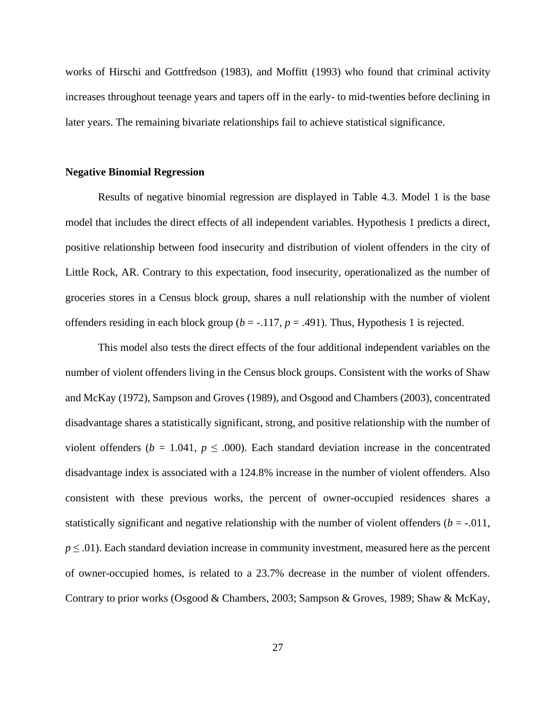works of Hirschi and Gottfredson [\(1983\)](#page-46-10), and Moffitt [\(1993\)](#page-48-10) who found that criminal activity increases throughout teenage years and tapers off in the early- to mid-twenties before declining in later years. The remaining bivariate relationships fail to achieve statistical significance.

#### **Negative Binomial Regression**

Results of negative binomial regression are displayed in Table 4.3. Model 1 is the base model that includes the direct effects of all independent variables. Hypothesis 1 predicts a direct, positive relationship between food insecurity and distribution of violent offenders in the city of Little Rock, AR. Contrary to this expectation, food insecurity, operationalized as the number of groceries stores in a Census block group, shares a null relationship with the number of violent offenders residing in each block group ( $b = -0.117$ ,  $p = 0.491$ ). Thus, Hypothesis 1 is rejected.

This model also tests the direct effects of the four additional independent variables on the number of violent offenders living in the Census block groups. Consistent with the works of Shaw and McKay [\(1972\)](#page-51-0), Sampson and Groves [\(1989\)](#page-50-0), and Osgood and Chambers [\(2003\)](#page-49-10), concentrated disadvantage shares a statistically significant, strong, and positive relationship with the number of violent offenders ( $b = 1.041$ ,  $p \le 0.000$ ). Each standard deviation increase in the concentrated disadvantage index is associated with a 124.8% increase in the number of violent offenders. Also consistent with these previous works, the percent of owner-occupied residences shares a statistically significant and negative relationship with the number of violent offenders (*b* = -.011,  $p \leq 0.01$ ). Each standard deviation increase in community investment, measured here as the percent of owner-occupied homes, is related to a 23.7% decrease in the number of violent offenders. Contrary to prior works [\(Osgood & Chambers, 2003;](#page-49-10) [Sampson & Groves, 1989;](#page-50-0) [Shaw & McKay,](#page-51-0)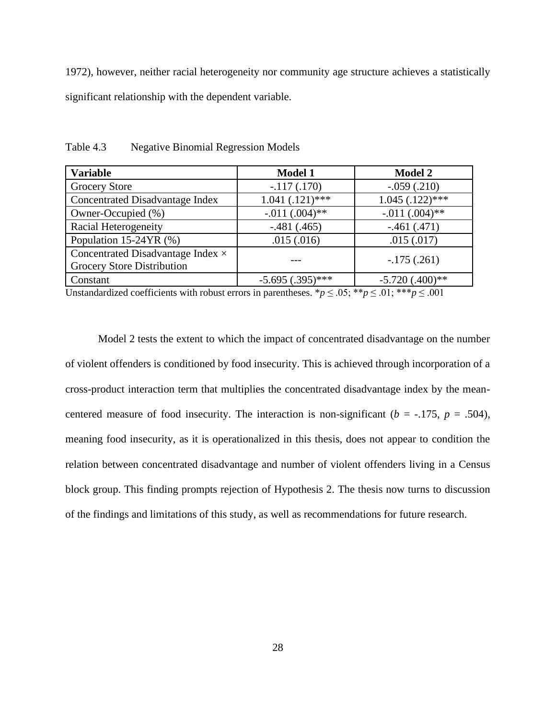[1972\)](#page-51-0), however, neither racial heterogeneity nor community age structure achieves a statistically significant relationship with the dependent variable.

| <b>Variable</b>                                                        | <b>Model 1</b>     | <b>Model 2</b>    |
|------------------------------------------------------------------------|--------------------|-------------------|
| <b>Grocery Store</b>                                                   | $-.117(.170)$      | $-.059(.210)$     |
| <b>Concentrated Disadvantage Index</b>                                 | $1.041(.121)$ ***  | $1.045(.122)$ *** |
| Owner-Occupied (%)                                                     | $-.011(.004)$ **   | $-.011(.004)$ **  |
| <b>Racial Heterogeneity</b>                                            | $-.481(.465)$      | $-.461(.471)$     |
| Population $15-24YR$ (%)                                               | .015(.016)         | .015(.017)        |
| Concentrated Disadvantage Index ×<br><b>Grocery Store Distribution</b> |                    | $-.175(.261)$     |
| Constant                                                               | $-5.695(.395)$ *** | $-5.720(.400)$ ** |

Table 4.3 Negative Binomial Regression Models

Unstandardized coefficients with robust errors in parentheses.  $p \le 0.05$ ;  $\ast p \le 0.01$ ;  $\ast \ast p \le 0.001$ 

Model 2 tests the extent to which the impact of concentrated disadvantage on the number of violent offenders is conditioned by food insecurity. This is achieved through incorporation of a cross-product interaction term that multiplies the concentrated disadvantage index by the meancentered measure of food insecurity. The interaction is non-significant ( $b = -175$ ,  $p = .504$ ), meaning food insecurity, as it is operationalized in this thesis, does not appear to condition the relation between concentrated disadvantage and number of violent offenders living in a Census block group. This finding prompts rejection of Hypothesis 2. The thesis now turns to discussion of the findings and limitations of this study, as well as recommendations for future research.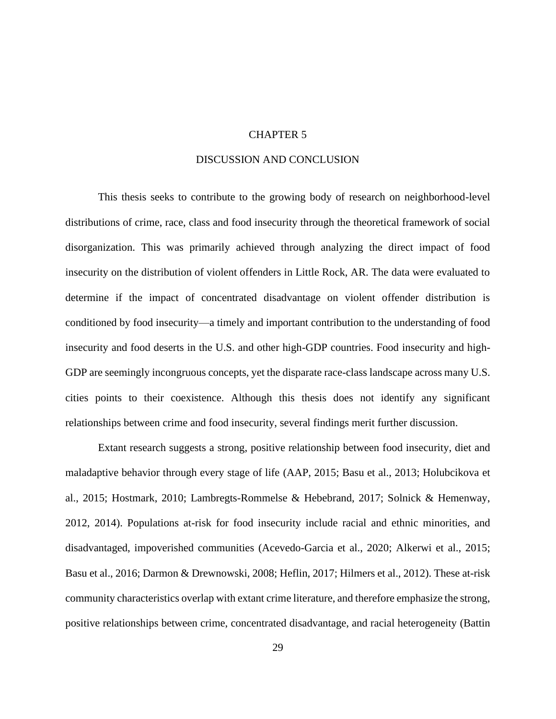## CHAPTER 5

## DISCUSSION AND CONCLUSION

This thesis seeks to contribute to the growing body of research on neighborhood-level distributions of crime, race, class and food insecurity through the theoretical framework of social disorganization. This was primarily achieved through analyzing the direct impact of food insecurity on the distribution of violent offenders in Little Rock, AR. The data were evaluated to determine if the impact of concentrated disadvantage on violent offender distribution is conditioned by food insecurity—a timely and important contribution to the understanding of food insecurity and food deserts in the U.S. and other high-GDP countries. Food insecurity and high-GDP are seemingly incongruous concepts, yet the disparate race-class landscape across many U.S. cities points to their coexistence. Although this thesis does not identify any significant relationships between crime and food insecurity, several findings merit further discussion.

Extant research suggests a strong, positive relationship between food insecurity, diet and maladaptive behavior through every stage of life [\(AAP, 2015;](#page-43-8) [Basu et al., 2013;](#page-43-9) [Holubcikova et](#page-46-9)  [al., 2015;](#page-46-9) [Hostmark, 2010;](#page-47-8) [Lambregts-Rommelse & Hebebrand, 2017;](#page-48-6) [Solnick & Hemenway,](#page-51-7)  [2012,](#page-51-7) [2014\)](#page-51-8). Populations at-risk for food insecurity include racial and ethnic minorities, and disadvantaged, impoverished communities [\(Acevedo-Garcia et al., 2020;](#page-43-1) [Alkerwi et al., 2015;](#page-43-2) [Basu et al., 2016;](#page-43-7) [Darmon & Drewnowski, 2008;](#page-45-6) [Heflin, 2017;](#page-46-2) [Hilmers et al., 2012\)](#page-46-6). These at-risk community characteristics overlap with extant crime literature, and therefore emphasize the strong, positive relationships between crime, concentrated disadvantage, and racial heterogeneity [\(Battin](#page-44-6)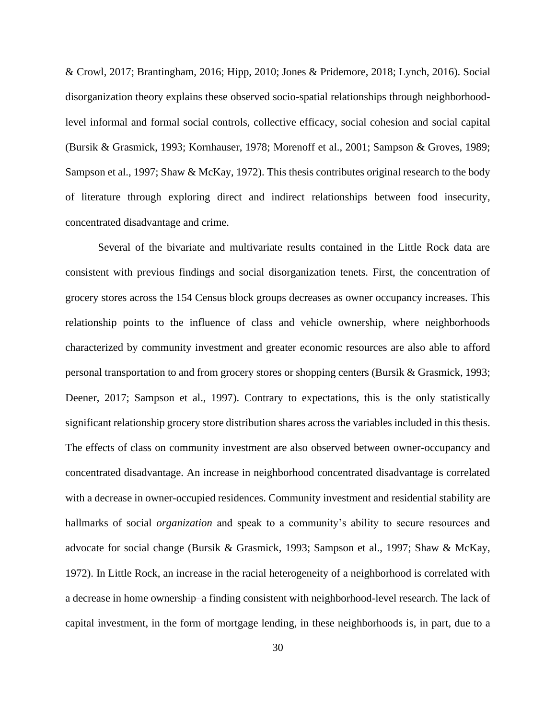[& Crowl, 2017;](#page-44-6) [Brantingham, 2016;](#page-44-7) [Hipp, 2010;](#page-46-4) [Jones & Pridemore, 2018;](#page-47-4) [Lynch, 2016\)](#page-48-0). Social disorganization theory explains these observed socio-spatial relationships through neighborhoodlevel informal and formal social controls, collective efficacy, social cohesion and social capital [\(Bursik & Grasmick, 1993;](#page-44-5) [Kornhauser, 1978;](#page-47-2) [Morenoff et al., 2001;](#page-49-2) [Sampson & Groves, 1989;](#page-50-0) [Sampson et al., 1997;](#page-50-1) [Shaw & McKay, 1972\)](#page-51-0). This thesis contributes original research to the body of literature through exploring direct and indirect relationships between food insecurity, concentrated disadvantage and crime.

Several of the bivariate and multivariate results contained in the Little Rock data are consistent with previous findings and social disorganization tenets. First, the concentration of grocery stores across the 154 Census block groups decreases as owner occupancy increases. This relationship points to the influence of class and vehicle ownership, where neighborhoods characterized by community investment and greater economic resources are also able to afford personal transportation to and from grocery stores or shopping centers [\(Bursik & Grasmick, 1993;](#page-44-5) [Deener, 2017;](#page-45-1) [Sampson et al., 1997\)](#page-50-1). Contrary to expectations, this is the only statistically significant relationship grocery store distribution shares across the variables included in this thesis. The effects of class on community investment are also observed between owner-occupancy and concentrated disadvantage. An increase in neighborhood concentrated disadvantage is correlated with a decrease in owner-occupied residences. Community investment and residential stability are hallmarks of social *organization* and speak to a community's ability to secure resources and advocate for social change [\(Bursik & Grasmick, 1993;](#page-44-5) [Sampson et al., 1997;](#page-50-1) [Shaw & McKay,](#page-51-0)  [1972\)](#page-51-0). In Little Rock, an increase in the racial heterogeneity of a neighborhood is correlated with a decrease in home ownership–a finding consistent with neighborhood-level research. The lack of capital investment, in the form of mortgage lending, in these neighborhoods is, in part, due to a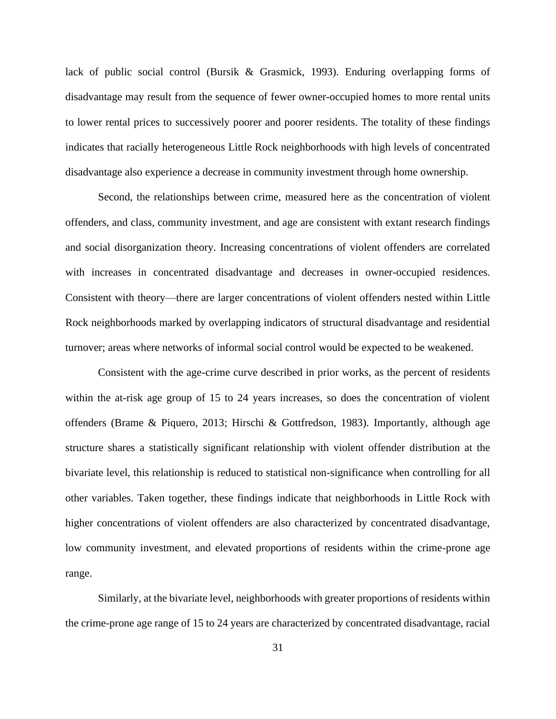lack of public social control [\(Bursik & Grasmick, 1993\)](#page-44-5). Enduring overlapping forms of disadvantage may result from the sequence of fewer owner-occupied homes to more rental units to lower rental prices to successively poorer and poorer residents. The totality of these findings indicates that racially heterogeneous Little Rock neighborhoods with high levels of concentrated disadvantage also experience a decrease in community investment through home ownership.

Second, the relationships between crime, measured here as the concentration of violent offenders, and class, community investment, and age are consistent with extant research findings and social disorganization theory. Increasing concentrations of violent offenders are correlated with increases in concentrated disadvantage and decreases in owner-occupied residences. Consistent with theory—there are larger concentrations of violent offenders nested within Little Rock neighborhoods marked by overlapping indicators of structural disadvantage and residential turnover; areas where networks of informal social control would be expected to be weakened.

Consistent with the age-crime curve described in prior works, as the percent of residents within the at-risk age group of 15 to 24 years increases, so does the concentration of violent offenders [\(Brame & Piquero, 2013;](#page-44-12) [Hirschi & Gottfredson, 1983\)](#page-46-10). Importantly, although age structure shares a statistically significant relationship with violent offender distribution at the bivariate level, this relationship is reduced to statistical non-significance when controlling for all other variables. Taken together, these findings indicate that neighborhoods in Little Rock with higher concentrations of violent offenders are also characterized by concentrated disadvantage, low community investment, and elevated proportions of residents within the crime-prone age range.

Similarly, at the bivariate level, neighborhoods with greater proportions of residents within the crime-prone age range of 15 to 24 years are characterized by concentrated disadvantage, racial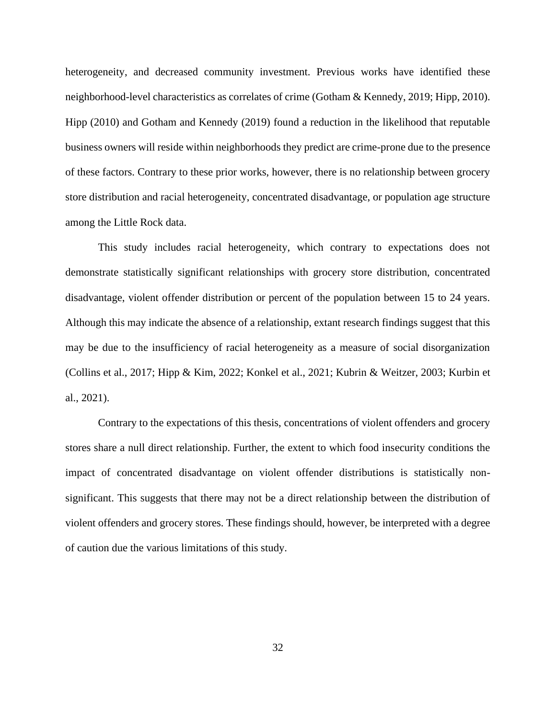heterogeneity, and decreased community investment. Previous works have identified these neighborhood-level characteristics as correlates of crime [\(Gotham & Kennedy, 2019;](#page-46-7) [Hipp, 2010\)](#page-46-4). Hipp [\(2010\)](#page-46-4) and Gotham and Kennedy [\(2019\)](#page-46-7) found a reduction in the likelihood that reputable business owners will reside within neighborhoods they predict are crime-prone due to the presence of these factors. Contrary to these prior works, however, there is no relationship between grocery store distribution and racial heterogeneity, concentrated disadvantage, or population age structure among the Little Rock data.

This study includes racial heterogeneity, which contrary to expectations does not demonstrate statistically significant relationships with grocery store distribution, concentrated disadvantage, violent offender distribution or percent of the population between 15 to 24 years. Although this may indicate the absence of a relationship, extant research findings suggest that this may be due to the insufficiency of racial heterogeneity as a measure of social disorganization [\(Collins et al., 2017;](#page-45-11) [Hipp & Kim, 2022;](#page-46-11) [Konkel et al., 2021;](#page-47-9) [Kubrin & Weitzer, 2003;](#page-47-10) [Kurbin et](#page-47-11)  [al., 2021\)](#page-47-11).

Contrary to the expectations of this thesis, concentrations of violent offenders and grocery stores share a null direct relationship. Further, the extent to which food insecurity conditions the impact of concentrated disadvantage on violent offender distributions is statistically nonsignificant. This suggests that there may not be a direct relationship between the distribution of violent offenders and grocery stores. These findings should, however, be interpreted with a degree of caution due the various limitations of this study.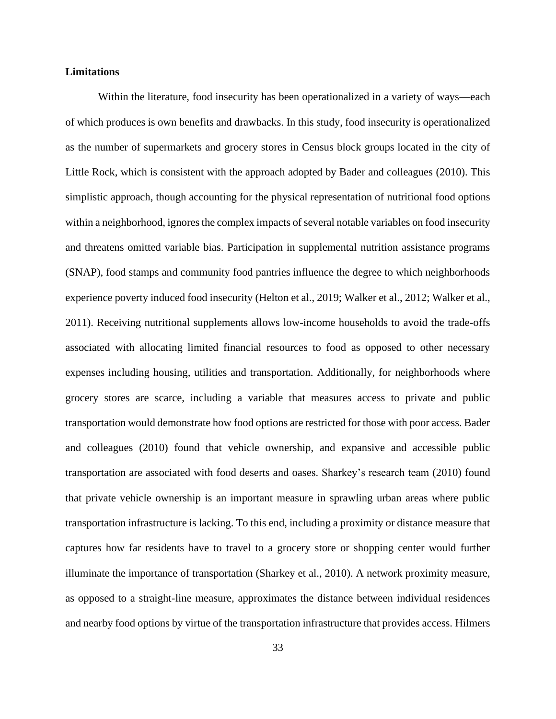#### **Limitations**

Within the literature, food insecurity has been operationalized in a variety of ways—each of which produces is own benefits and drawbacks. In this study, food insecurity is operationalized as the number of supermarkets and grocery stores in Census block groups located in the city of Little Rock, which is consistent with the approach adopted by Bader and colleagues [\(2010\)](#page-43-5). This simplistic approach, though accounting for the physical representation of nutritional food options within a neighborhood, ignores the complex impacts of several notable variables on food insecurity and threatens omitted variable bias. Participation in supplemental nutrition assistance programs (SNAP), food stamps and community food pantries influence the degree to which neighborhoods experience poverty induced food insecurity [\(Helton et al., 2019;](#page-46-1) [Walker et al., 2012;](#page-51-2) [Walker et al.,](#page-51-1)  [2011\)](#page-51-1). Receiving nutritional supplements allows low-income households to avoid the trade-offs associated with allocating limited financial resources to food as opposed to other necessary expenses including housing, utilities and transportation. Additionally, for neighborhoods where grocery stores are scarce, including a variable that measures access to private and public transportation would demonstrate how food options are restricted for those with poor access. Bader and colleagues [\(2010\)](#page-43-5) found that vehicle ownership, and expansive and accessible public transportation are associated with food deserts and oases. Sharkey's research team [\(2010\)](#page-51-3) found that private vehicle ownership is an important measure in sprawling urban areas where public transportation infrastructure is lacking. To this end, including a proximity or distance measure that captures how far residents have to travel to a grocery store or shopping center would further illuminate the importance of transportation [\(Sharkey et al., 2010\)](#page-51-3). A network proximity measure, as opposed to a straight-line measure, approximates the distance between individual residences and nearby food options by virtue of the transportation infrastructure that provides access. Hilmers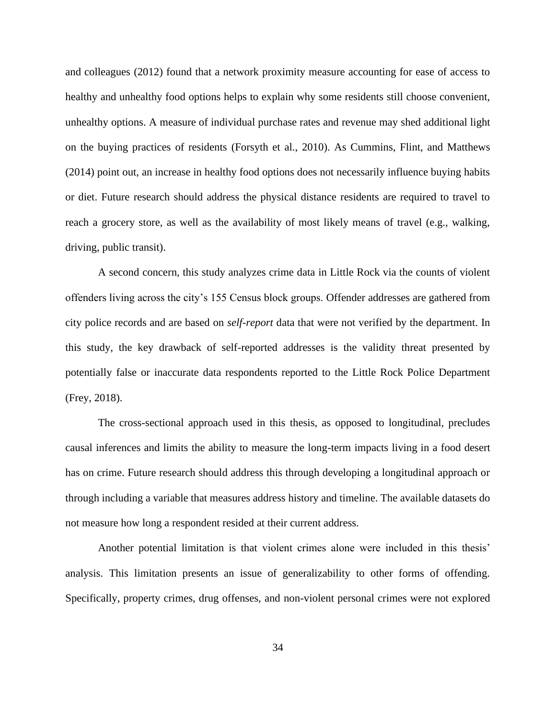and colleagues [\(2012\)](#page-46-6) found that a network proximity measure accounting for ease of access to healthy and unhealthy food options helps to explain why some residents still choose convenient, unhealthy options. A measure of individual purchase rates and revenue may shed additional light on the buying practices of residents [\(Forsyth et al., 2010\)](#page-45-4). As Cummins, Flint, and Matthews [\(2014\)](#page-45-5) point out, an increase in healthy food options does not necessarily influence buying habits or diet. Future research should address the physical distance residents are required to travel to reach a grocery store, as well as the availability of most likely means of travel (e.g., walking, driving, public transit).

A second concern, this study analyzes crime data in Little Rock via the counts of violent offenders living across the city's 155 Census block groups. Offender addresses are gathered from city police records and are based on *self-report* data that were not verified by the department. In this study, the key drawback of self-reported addresses is the validity threat presented by potentially false or inaccurate data respondents reported to the Little Rock Police Department [\(Frey, 2018\)](#page-45-12).

The cross-sectional approach used in this thesis, as opposed to longitudinal, precludes causal inferences and limits the ability to measure the long-term impacts living in a food desert has on crime. Future research should address this through developing a longitudinal approach or through including a variable that measures address history and timeline. The available datasets do not measure how long a respondent resided at their current address.

Another potential limitation is that violent crimes alone were included in this thesis' analysis. This limitation presents an issue of generalizability to other forms of offending. Specifically, property crimes, drug offenses, and non-violent personal crimes were not explored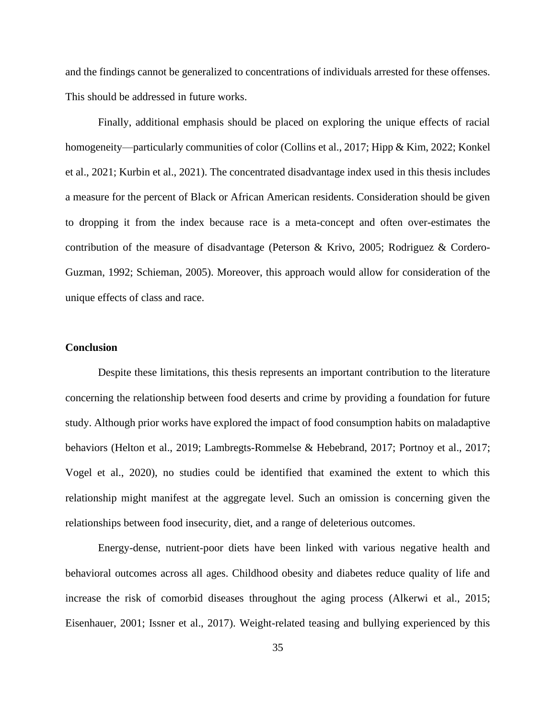and the findings cannot be generalized to concentrations of individuals arrested for these offenses. This should be addressed in future works.

Finally, additional emphasis should be placed on exploring the unique effects of racial homogeneity—particularly communities of color [\(Collins et al., 2017;](#page-45-11) [Hipp & Kim, 2022;](#page-46-11) Konkel [et al., 2021;](#page-47-9) [Kurbin et al., 2021\)](#page-47-11). The concentrated disadvantage index used in this thesis includes a measure for the percent of Black or African American residents. Consideration should be given to dropping it from the index because race is a meta-concept and often over-estimates the contribution of the measure of disadvantage [\(Peterson & Krivo, 2005;](#page-49-13) [Rodriguez & Cordero-](#page-50-11)[Guzman, 1992;](#page-50-11) [Schieman, 2005\)](#page-50-12). Moreover, this approach would allow for consideration of the unique effects of class and race.

## **Conclusion**

Despite these limitations, this thesis represents an important contribution to the literature concerning the relationship between food deserts and crime by providing a foundation for future study. Although prior works have explored the impact of food consumption habits on maladaptive behaviors [\(Helton et al., 2019;](#page-46-1) [Lambregts-Rommelse & Hebebrand, 2017;](#page-48-6) [Portnoy et al., 2017;](#page-49-7) [Vogel et al., 2020\)](#page-51-6), no studies could be identified that examined the extent to which this relationship might manifest at the aggregate level. Such an omission is concerning given the relationships between food insecurity, diet, and a range of deleterious outcomes.

Energy-dense, nutrient-poor diets have been linked with various negative health and behavioral outcomes across all ages. Childhood obesity and diabetes reduce quality of life and increase the risk of comorbid diseases throughout the aging process [\(Alkerwi et al., 2015;](#page-43-2) [Eisenhauer, 2001;](#page-45-2) [Issner et al., 2017\)](#page-47-7). Weight-related teasing and bullying experienced by this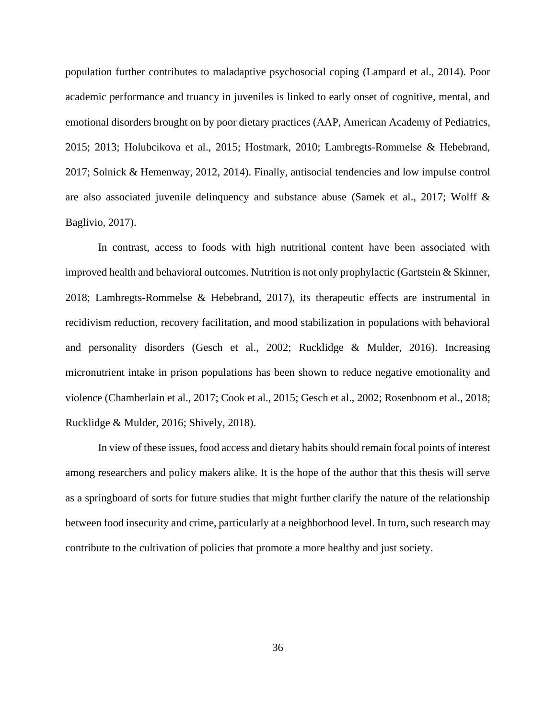population further contributes to maladaptive psychosocial coping [\(Lampard et al., 2014\)](#page-48-8). Poor academic performance and truancy in juveniles is linked to early onset of cognitive, mental, and emotional disorders brought on by poor dietary practices (AAP, [American Academy of Pediatrics,](#page-43-8)  [2015;](#page-43-8) [2013;](#page-43-9) [Holubcikova et al., 2015;](#page-46-9) [Hostmark, 2010;](#page-47-8) [Lambregts-Rommelse & Hebebrand,](#page-48-6)  [2017;](#page-48-6) [Solnick & Hemenway, 2012,](#page-51-7) [2014\)](#page-51-8). Finally, antisocial tendencies and low impulse control are also associated juvenile delinquency and substance abuse [\(Samek et al., 2017;](#page-50-9) [Wolff &](#page-52-4)  [Baglivio, 2017\)](#page-52-4).

In contrast, access to foods with high nutritional content have been associated with improved health and behavioral outcomes. Nutrition is not only prophylactic [\(Gartstein & Skinner,](#page-45-7)  [2018;](#page-45-7) [Lambregts-Rommelse & Hebebrand, 2017\)](#page-48-6), its therapeutic effects are instrumental in recidivism reduction, recovery facilitation, and mood stabilization in populations with behavioral and personality disorders [\(Gesch et al., 2002;](#page-45-9) [Rucklidge & Mulder, 2016\)](#page-50-7). Increasing micronutrient intake in prison populations has been shown to reduce negative emotionality and violence [\(Chamberlain et al., 2017;](#page-44-13) [Cook et al., 2015;](#page-45-8) [Gesch et al., 2002;](#page-45-9) [Rosenboom et al., 2018;](#page-50-10) [Rucklidge & Mulder, 2016;](#page-50-7) [Shively, 2018\)](#page-51-9).

In view of these issues, food access and dietary habits should remain focal points of interest among researchers and policy makers alike. It is the hope of the author that this thesis will serve as a springboard of sorts for future studies that might further clarify the nature of the relationship between food insecurity and crime, particularly at a neighborhood level. In turn, such research may contribute to the cultivation of policies that promote a more healthy and just society.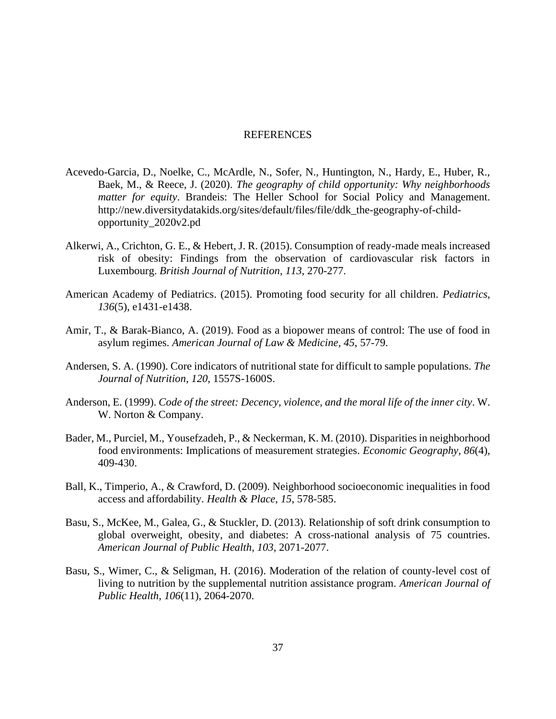#### REFERENCES

- <span id="page-43-1"></span>Acevedo-Garcia, D., Noelke, C., McArdle, N., Sofer, N., Huntington, N., Hardy, E., Huber, R., Baek, M., & Reece, J. (2020). *The geography of child opportunity: Why neighborhoods matter for equity*. Brandeis: The Heller School for Social Policy and Management. http://new.diversitydatakids.org/sites/default/files/file/ddk\_the-geography-of-childopportunity\_2020v2.pd
- <span id="page-43-2"></span>Alkerwi, A., Crichton, G. E., & Hebert, J. R. (2015). Consumption of ready-made meals increased risk of obesity: Findings from the observation of cardiovascular risk factors in Luxembourg. *British Journal of Nutrition*, *113*, 270-277.
- <span id="page-43-8"></span>American Academy of Pediatrics. (2015). Promoting food security for all children. *Pediatrics*, *136*(5), e1431-e1438.
- <span id="page-43-0"></span>Amir, T., & Barak-Bianco, A. (2019). Food as a biopower means of control: The use of food in asylum regimes. *American Journal of Law & Medicine*, *45*, 57-79.
- <span id="page-43-3"></span>Andersen, S. A. (1990). Core indicators of nutritional state for difficult to sample populations. *The Journal of Nutrition*, *120*, 1557S-1600S.
- <span id="page-43-4"></span>Anderson, E. (1999). *Code of the street: Decency, violence, and the moral life of the inner city*. W. W. Norton & Company.
- <span id="page-43-5"></span>Bader, M., Purciel, M., Yousefzadeh, P., & Neckerman, K. M. (2010). Disparities in neighborhood food environments: Implications of measurement strategies. *Economic Geography*, *86*(4), 409-430.
- <span id="page-43-6"></span>Ball, K., Timperio, A., & Crawford, D. (2009). Neighborhood socioeconomic inequalities in food access and affordability. *Health & Place*, *15*, 578-585.
- <span id="page-43-9"></span>Basu, S., McKee, M., Galea, G., & Stuckler, D. (2013). Relationship of soft drink consumption to global overweight, obesity, and diabetes: A cross-national analysis of 75 countries. *American Journal of Public Health*, *103*, 2071-2077.
- <span id="page-43-7"></span>Basu, S., Wimer, C., & Seligman, H. (2016). Moderation of the relation of county-level cost of living to nutrition by the supplemental nutrition assistance program. *American Journal of Public Health*, *106*(11), 2064-2070.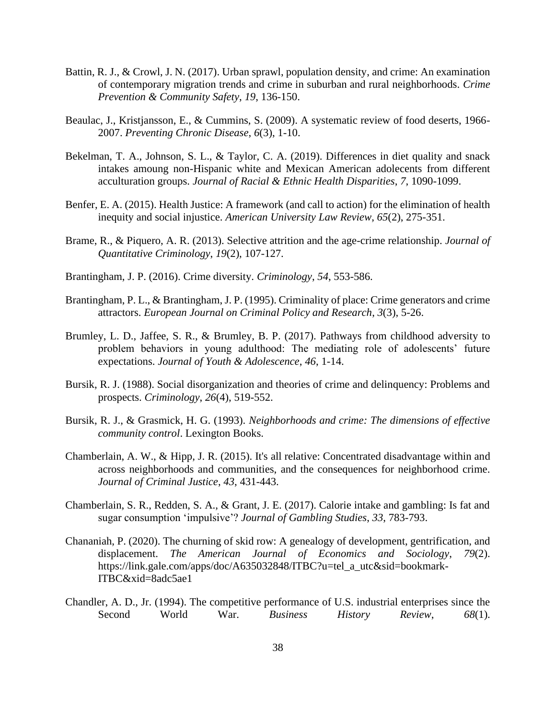- <span id="page-44-6"></span>Battin, R. J., & Crowl, J. N. (2017). Urban sprawl, population density, and crime: An examination of contemporary migration trends and crime in suburban and rural neighborhoods. *Crime Prevention & Community Safety*, *19*, 136-150.
- <span id="page-44-0"></span>Beaulac, J., Kristjansson, E., & Cummins, S. (2009). A systematic review of food deserts, 1966- 2007. *Preventing Chronic Disease*, *6*(3), 1-10.
- <span id="page-44-10"></span>Bekelman, T. A., Johnson, S. L., & Taylor, C. A. (2019). Differences in diet quality and snack intakes amoung non-Hispanic white and Mexican American adolecents from different acculturation groups. *Journal of Racial & Ethnic Health Disparities*, *7*, 1090-1099.
- <span id="page-44-1"></span>Benfer, E. A. (2015). Health Justice: A framework (and call to action) for the elimination of health inequity and social injustice. *American University Law Review*, *65*(2), 275-351.
- <span id="page-44-12"></span>Brame, R., & Piquero, A. R. (2013). Selective attrition and the age-crime relationship. *Journal of Quantitative Criminology*, *19*(2), 107-127.
- <span id="page-44-7"></span>Brantingham, J. P. (2016). Crime diversity. *Criminology*, *54*, 553-586.
- <span id="page-44-8"></span>Brantingham, P. L., & Brantingham, J. P. (1995). Criminality of place: Crime generators and crime attractors. *European Journal on Criminal Policy and Research*, *3*(3), 5-26.
- <span id="page-44-11"></span>Brumley, L. D., Jaffee, S. R., & Brumley, B. P. (2017). Pathways from childhood adversity to problem behaviors in young adulthood: The mediating role of adolescents' future expectations. *Journal of Youth & Adolescence*, *46*, 1-14.
- <span id="page-44-2"></span>Bursik, R. J. (1988). Social disorganization and theories of crime and delinquency: Problems and prospects. *Criminology*, *26*(4), 519-552.
- <span id="page-44-5"></span>Bursik, R. J., & Grasmick, H. G. (1993). *Neighborhoods and crime: The dimensions of effective community control*. Lexington Books.
- <span id="page-44-9"></span>Chamberlain, A. W., & Hipp, J. R. (2015). It's all relative: Concentrated disadvantage within and across neighborhoods and communities, and the consequences for neighborhood crime. *Journal of Criminal Justice*, *43*, 431-443.
- <span id="page-44-13"></span>Chamberlain, S. R., Redden, S. A., & Grant, J. E. (2017). Calorie intake and gambling: Is fat and sugar consumption 'impulsive'? *Journal of Gambling Studies*, *33*, 783-793.
- <span id="page-44-4"></span>Chananiah, P. (2020). The churning of skid row: A genealogy of development, gentrification, and displacement. *The American Journal of Economics and Sociology*, *79*(2). https://link.gale.com/apps/doc/A635032848/ITBC?u=tel\_a\_utc&sid=bookmark-ITBC&xid=8adc5ae1
- <span id="page-44-3"></span>Chandler, A. D., Jr. (1994). The competitive performance of U.S. industrial enterprises since the Second World War. *Business History Review*, *68*(1).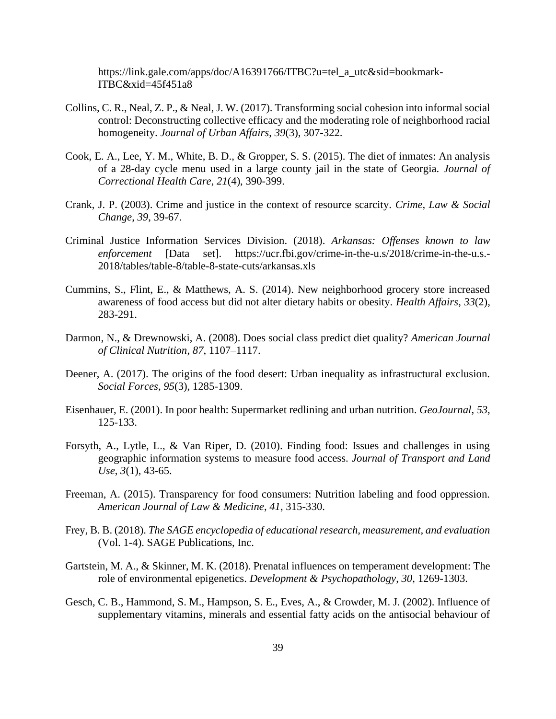https://link.gale.com/apps/doc/A16391766/ITBC?u=tel\_a\_utc&sid=bookmark-ITBC&xid=45f451a8

- <span id="page-45-11"></span>Collins, C. R., Neal, Z. P., & Neal, J. W. (2017). Transforming social cohesion into informal social control: Deconstructing collective efficacy and the moderating role of neighborhood racial homogeneity. *Journal of Urban Affairs*, *39*(3), 307-322.
- <span id="page-45-8"></span>Cook, E. A., Lee, Y. M., White, B. D., & Gropper, S. S. (2015). The diet of inmates: An analysis of a 28-day cycle menu used in a large county jail in the state of Georgia. *Journal of Correctional Health Care*, *21*(4), 390-399.
- <span id="page-45-0"></span>Crank, J. P. (2003). Crime and justice in the context of resource scarcity. *Crime, Law & Social Change*, *39*, 39-67.
- <span id="page-45-10"></span>Criminal Justice Information Services Division. (2018). *Arkansas: Offenses known to law enforcement* [Data set]. https://ucr.fbi.gov/crime-in-the-u.s/2018/crime-in-the-u.s.- 2018/tables/table-8/table-8-state-cuts/arkansas.xls
- <span id="page-45-5"></span>Cummins, S., Flint, E., & Matthews, A. S. (2014). New neighborhood grocery store increased awareness of food access but did not alter dietary habits or obesity. *Health Affairs*, *33*(2), 283-291.
- <span id="page-45-6"></span>Darmon, N., & Drewnowski, A. (2008). Does social class predict diet quality? *American Journal of Clinical Nutrition*, *87*, 1107–1117.
- <span id="page-45-1"></span>Deener, A. (2017). The origins of the food desert: Urban inequality as infrastructural exclusion. *Social Forces*, *95*(3), 1285-1309.
- <span id="page-45-2"></span>Eisenhauer, E. (2001). In poor health: Supermarket redlining and urban nutrition. *GeoJournal*, *53*, 125-133.
- <span id="page-45-4"></span>Forsyth, A., Lytle, L., & Van Riper, D. (2010). Finding food: Issues and challenges in using geographic information systems to measure food access. *Journal of Transport and Land Use*, *3*(1), 43-65.
- <span id="page-45-3"></span>Freeman, A. (2015). Transparency for food consumers: Nutrition labeling and food oppression. *American Journal of Law & Medicine*, *41*, 315-330.
- <span id="page-45-12"></span>Frey, B. B. (2018). *The SAGE encyclopedia of educational research, measurement, and evaluation* (Vol. 1-4). SAGE Publications, Inc.
- <span id="page-45-7"></span>Gartstein, M. A., & Skinner, M. K. (2018). Prenatal influences on temperament development: The role of environmental epigenetics. *Development & Psychopathology*, *30*, 1269-1303.
- <span id="page-45-9"></span>Gesch, C. B., Hammond, S. M., Hampson, S. E., Eves, A., & Crowder, M. J. (2002). Influence of supplementary vitamins, minerals and essential fatty acids on the antisocial behaviour of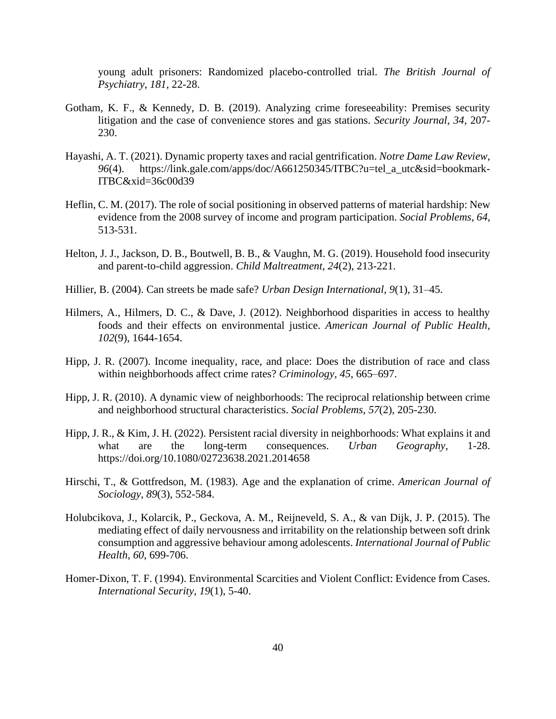young adult prisoners: Randomized placebo-controlled trial. *The British Journal of Psychiatry*, *181*, 22-28.

- <span id="page-46-7"></span>Gotham, K. F., & Kennedy, D. B. (2019). Analyzing crime foreseeability: Premises security litigation and the case of convenience stores and gas stations. *Security Journal*, *34*, 207- 230.
- <span id="page-46-5"></span>Hayashi, A. T. (2021). Dynamic property taxes and racial gentrification. *Notre Dame Law Review*, *96*(4). https://link.gale.com/apps/doc/A661250345/ITBC?u=tel\_a\_utc&sid=bookmark-ITBC&xid=36c00d39
- <span id="page-46-2"></span>Heflin, C. M. (2017). The role of social positioning in observed patterns of material hardship: New evidence from the 2008 survey of income and program participation. *Social Problems*, *64*, 513-531.
- <span id="page-46-1"></span>Helton, J. J., Jackson, D. B., Boutwell, B. B., & Vaughn, M. G. (2019). Household food insecurity and parent-to-child aggression. *Child Maltreatment*, *24*(2), 213-221.
- <span id="page-46-8"></span>Hillier, B. (2004). Can streets be made safe? *Urban Design International*, *9*(1), 31–45.
- <span id="page-46-6"></span>Hilmers, A., Hilmers, D. C., & Dave, J. (2012). Neighborhood disparities in access to healthy foods and their effects on environmental justice. *American Journal of Public Health*, *102*(9), 1644-1654.
- <span id="page-46-3"></span>Hipp, J. R. (2007). Income inequality, race, and place: Does the distribution of race and class within neighborhoods affect crime rates? *Criminology*, *45*, 665–697.
- <span id="page-46-4"></span>Hipp, J. R. (2010). A dynamic view of neighborhoods: The reciprocal relationship between crime and neighborhood structural characteristics. *Social Problems*, *57*(2), 205-230.
- <span id="page-46-11"></span>Hipp, J. R., & Kim, J. H. (2022). Persistent racial diversity in neighborhoods: What explains it and what are the long-term consequences. *Urban Geography*, 1-28. https://doi.org/10.1080/02723638.2021.2014658
- <span id="page-46-10"></span>Hirschi, T., & Gottfredson, M. (1983). Age and the explanation of crime. *American Journal of Sociology*, *89*(3), 552-584.
- <span id="page-46-9"></span>Holubcikova, J., Kolarcik, P., Geckova, A. M., Reijneveld, S. A., & van Dijk, J. P. (2015). The mediating effect of daily nervousness and irritability on the relationship between soft drink consumption and aggressive behaviour among adolescents. *International Journal of Public Health*, *60*, 699-706.
- <span id="page-46-0"></span>Homer-Dixon, T. F. (1994). Environmental Scarcities and Violent Conflict: Evidence from Cases. *International Security*, *19*(1), 5-40.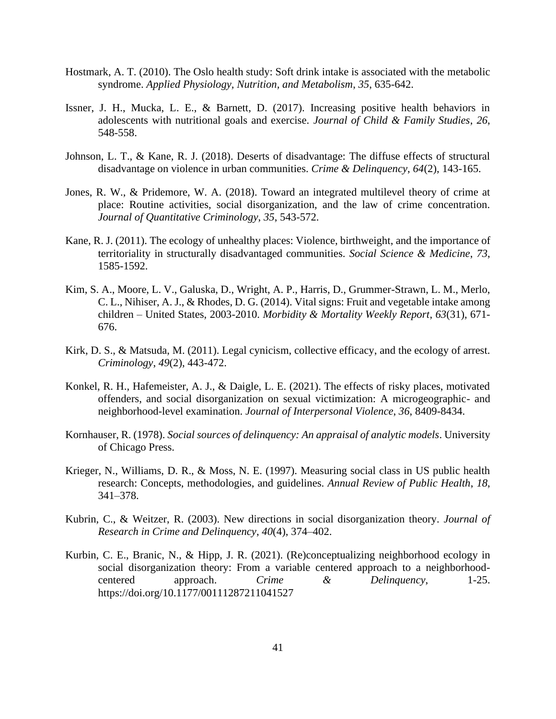- <span id="page-47-8"></span>Hostmark, A. T. (2010). The Oslo health study: Soft drink intake is associated with the metabolic syndrome. *Applied Physiology, Nutrition, and Metabolism*, *35*, 635-642.
- <span id="page-47-7"></span>Issner, J. H., Mucka, L. E., & Barnett, D. (2017). Increasing positive health behaviors in adolescents with nutritional goals and exercise. *Journal of Child & Family Studies*, *26*, 548-558.
- <span id="page-47-5"></span>Johnson, L. T., & Kane, R. J. (2018). Deserts of disadvantage: The diffuse effects of structural disadvantage on violence in urban communities. *Crime & Delinquency*, *64*(2), 143-165.
- <span id="page-47-4"></span>Jones, R. W., & Pridemore, W. A. (2018). Toward an integrated multilevel theory of crime at place: Routine activities, social disorganization, and the law of crime concentration. *Journal of Quantitative Criminology*, *35*, 543-572.
- <span id="page-47-1"></span>Kane, R. J. (2011). The ecology of unhealthy places: Violence, birthweight, and the importance of territoriality in structurally disadvantaged communities. *Social Science & Medicine*, *73*, 1585-1592.
- <span id="page-47-6"></span>Kim, S. A., Moore, L. V., Galuska, D., Wright, A. P., Harris, D., Grummer-Strawn, L. M., Merlo, C. L., Nihiser, A. J., & Rhodes, D. G. (2014). Vital signs: Fruit and vegetable intake among children – United States, 2003-2010. *Morbidity & Mortality Weekly Report*, *63*(31), 671- 676.
- <span id="page-47-3"></span>Kirk, D. S., & Matsuda, M. (2011). Legal cynicism, collective efficacy, and the ecology of arrest. *Criminology*, *49*(2), 443-472.
- <span id="page-47-9"></span>Konkel, R. H., Hafemeister, A. J., & Daigle, L. E. (2021). The effects of risky places, motivated offenders, and social disorganization on sexual victimization: A microgeographic- and neighborhood-level examination. *Journal of Interpersonal Violence*, *36*, 8409-8434.
- <span id="page-47-2"></span>Kornhauser, R. (1978). *Social sources of delinquency: An appraisal of analytic models*. University of Chicago Press.
- <span id="page-47-0"></span>Krieger, N., Williams, D. R., & Moss, N. E. (1997). Measuring social class in US public health research: Concepts, methodologies, and guidelines. *Annual Review of Public Health*, *18*, 341–378.
- <span id="page-47-10"></span>Kubrin, C., & Weitzer, R. (2003). New directions in social disorganization theory. *Journal of Research in Crime and Delinquency*, *40*(4), 374–402.
- <span id="page-47-11"></span>Kurbin, C. E., Branic, N., & Hipp, J. R. (2021). (Re)conceptualizing neighborhood ecology in social disorganization theory: From a variable centered approach to a neighborhoodcentered approach. *Crime & Delinquency*, 1-25. https://doi.org/10.1177/00111287211041527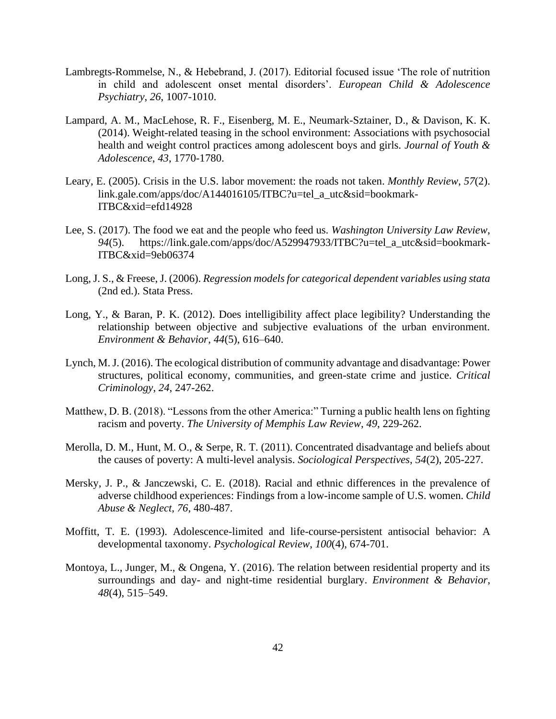- <span id="page-48-6"></span>Lambregts-Rommelse, N., & Hebebrand, J. (2017). Editorial focused issue 'The role of nutrition in child and adolescent onset mental disorders'. *European Child & Adolescence Psychiatry*, *26*, 1007-1010.
- <span id="page-48-8"></span>Lampard, A. M., MacLehose, R. F., Eisenberg, M. E., Neumark-Sztainer, D., & Davison, K. K. (2014). Weight-related teasing in the school environment: Associations with psychosocial health and weight control practices among adolescent boys and girls. *Journal of Youth & Adolescence*, *43*, 1770-1780.
- <span id="page-48-2"></span>Leary, E. (2005). Crisis in the U.S. labor movement: the roads not taken. *Monthly Review*, *57*(2). link.gale.com/apps/doc/A144016105/ITBC?u=tel\_a\_utc&sid=bookmark-ITBC&xid=efd14928
- <span id="page-48-3"></span>Lee, S. (2017). The food we eat and the people who feed us. *Washington University Law Review*, *94*(5). https://link.gale.com/apps/doc/A529947933/ITBC?u=tel\_a\_utc&sid=bookmark-ITBC&xid=9eb06374
- <span id="page-48-11"></span>Long, J. S., & Freese, J. (2006). *Regression models for categorical dependent variables using stata* (2nd ed.). Stata Press.
- <span id="page-48-4"></span>Long, Y., & Baran, P. K. (2012). Does intelligibility affect place legibility? Understanding the relationship between objective and subjective evaluations of the urban environment. *Environment & Behavior*, *44*(5), 616–640.
- <span id="page-48-0"></span>Lynch, M. J. (2016). The ecological distribution of community advantage and disadvantage: Power structures, political economy, communities, and green-state crime and justice. *Critical Criminology*, *24*, 247-262.
- <span id="page-48-1"></span>Matthew, D. B. (2018). "Lessons from the other America:" Turning a public health lens on fighting racism and poverty. *The University of Memphis Law Review*, *49*, 229-262.
- <span id="page-48-9"></span>Merolla, D. M., Hunt, M. O., & Serpe, R. T. (2011). Concentrated disadvantage and beliefs about the causes of poverty: A multi-level analysis. *Sociological Perspectives*, *54*(2), 205-227.
- <span id="page-48-7"></span>Mersky, J. P., & Janczewski, C. E. (2018). Racial and ethnic differences in the prevalence of adverse childhood experiences: Findings from a low-income sample of U.S. women. *Child Abuse & Neglect*, *76*, 480-487.
- <span id="page-48-10"></span>Moffitt, T. E. (1993). Adolescence-limited and life-course-persistent antisocial behavior: A developmental taxonomy. *Psychological Review*, *100*(4), 674-701.
- <span id="page-48-5"></span>Montoya, L., Junger, M., & Ongena, Y. (2016). The relation between residential property and its surroundings and day- and night-time residential burglary. *Environment & Behavior*, *48*(4), 515–549.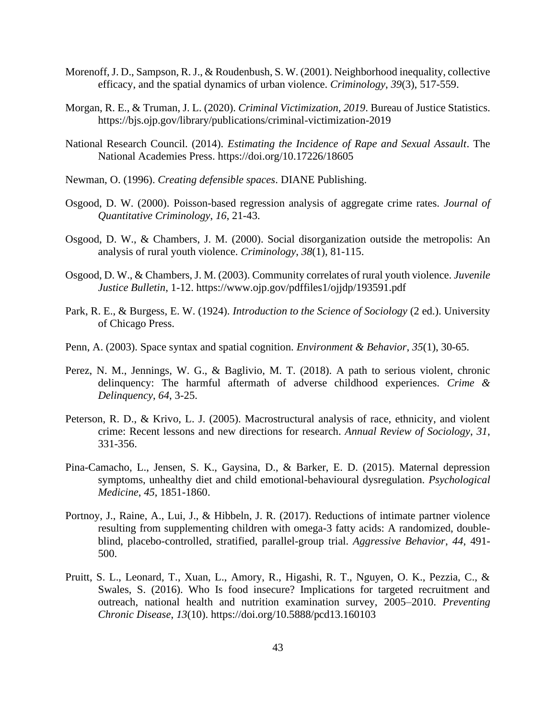- <span id="page-49-2"></span>Morenoff, J. D., Sampson, R. J., & Roudenbush, S. W. (2001). Neighborhood inequality, collective efficacy, and the spatial dynamics of urban violence. *Criminology*, *39*(3), 517-559.
- <span id="page-49-8"></span>Morgan, R. E., & Truman, J. L. (2020). *Criminal Victimization, 2019*. Bureau of Justice Statistics. https://bjs.ojp.gov/library/publications/criminal-victimization-2019
- <span id="page-49-9"></span>National Research Council. (2014). *Estimating the Incidence of Rape and Sexual Assault*. The National Academies Press. https://doi.org/10.17226/18605
- <span id="page-49-3"></span>Newman, O. (1996). *Creating defensible spaces*. DIANE Publishing.
- <span id="page-49-11"></span>Osgood, D. W. (2000). Poisson-based regression analysis of aggregate crime rates. *Journal of Quantitative Criminology*, *16*, 21-43.
- <span id="page-49-12"></span>Osgood, D. W., & Chambers, J. M. (2000). Social disorganization outside the metropolis: An analysis of rural youth violence. *Criminology*, *38*(1), 81-115.
- <span id="page-49-10"></span>Osgood, D. W., & Chambers, J. M. (2003). Community correlates of rural youth violence. *Juvenile Justice Bulletin*, 1-12. https://www.ojp.gov/pdffiles1/ojjdp/193591.pdf
- <span id="page-49-0"></span>Park, R. E., & Burgess, E. W. (1924). *Introduction to the Science of Sociology* (2 ed.). University of Chicago Press.
- <span id="page-49-4"></span>Penn, A. (2003). Space syntax and spatial cognition. *Environment & Behavior*, *35*(1), 30-65.
- <span id="page-49-6"></span>Perez, N. M., Jennings, W. G., & Baglivio, M. T. (2018). A path to serious violent, chronic delinquency: The harmful aftermath of adverse childhood experiences. *Crime & Delinquency*, *64*, 3-25.
- <span id="page-49-13"></span>Peterson, R. D., & Krivo, L. J. (2005). Macrostructural analysis of race, ethnicity, and violent crime: Recent lessons and new directions for research. *Annual Review of Sociology*, *31*, 331-356.
- <span id="page-49-5"></span>Pina-Camacho, L., Jensen, S. K., Gaysina, D., & Barker, E. D. (2015). Maternal depression symptoms, unhealthy diet and child emotional-behavioural dysregulation. *Psychological Medicine*, *45*, 1851-1860.
- <span id="page-49-7"></span>Portnoy, J., Raine, A., Lui, J., & Hibbeln, J. R. (2017). Reductions of intimate partner violence resulting from supplementing children with omega-3 fatty acids: A randomized, doubleblind, placebo-controlled, stratified, parallel-group trial. *Aggressive Behavior*, *44*, 491- 500.
- <span id="page-49-1"></span>Pruitt, S. L., Leonard, T., Xuan, L., Amory, R., Higashi, R. T., Nguyen, O. K., Pezzia, C., & Swales, S. (2016). Who Is food insecure? Implications for targeted recruitment and outreach, national health and nutrition examination survey, 2005–2010. *Preventing Chronic Disease*, *13*(10). https://doi.org/10.5888/pcd13.160103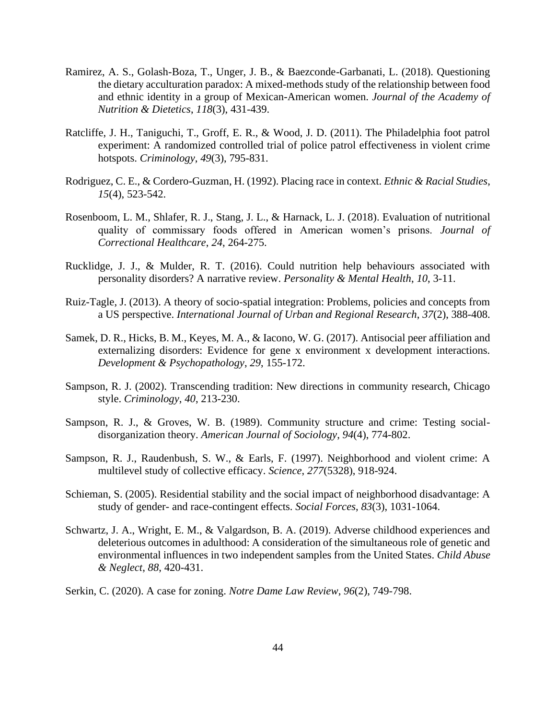- <span id="page-50-6"></span>Ramirez, A. S., Golash-Boza, T., Unger, J. B., & Baezconde-Garbanati, L. (2018). Questioning the dietary acculturation paradox: A mixed-methods study of the relationship between food and ethnic identity in a group of Mexican-American women. *Journal of the Academy of Nutrition & Dietetics*, *118*(3), 431-439.
- <span id="page-50-4"></span>Ratcliffe, J. H., Taniguchi, T., Groff, E. R., & Wood, J. D. (2011). The Philadelphia foot patrol experiment: A randomized controlled trial of police patrol effectiveness in violent crime hotspots. *Criminology*, *49*(3), 795-831.
- <span id="page-50-11"></span>Rodriguez, C. E., & Cordero-Guzman, H. (1992). Placing race in context. *Ethnic & Racial Studies*, *15*(4), 523-542.
- <span id="page-50-10"></span>Rosenboom, L. M., Shlafer, R. J., Stang, J. L., & Harnack, L. J. (2018). Evaluation of nutritional quality of commissary foods offered in American women's prisons. *Journal of Correctional Healthcare*, *24*, 264-275.
- <span id="page-50-7"></span>Rucklidge, J. J., & Mulder, R. T. (2016). Could nutrition help behaviours associated with personality disorders? A narrative review. *Personality & Mental Health*, *10*, 3-11.
- <span id="page-50-5"></span>Ruiz-Tagle, J. (2013). A theory of socio-spatial integration: Problems, policies and concepts from a US perspective. *International Journal of Urban and Regional Research*, *37*(2), 388-408.
- <span id="page-50-9"></span>Samek, D. R., Hicks, B. M., Keyes, M. A., & Iacono, W. G. (2017). Antisocial peer affiliation and externalizing disorders: Evidence for gene x environment x development interactions. *Development & Psychopathology*, *29*, 155-172.
- <span id="page-50-3"></span>Sampson, R. J. (2002). Transcending tradition: New directions in community research, Chicago style. *Criminology*, *40*, 213-230.
- <span id="page-50-0"></span>Sampson, R. J., & Groves, W. B. (1989). Community structure and crime: Testing socialdisorganization theory. *American Journal of Sociology*, *94*(4), 774-802.
- <span id="page-50-1"></span>Sampson, R. J., Raudenbush, S. W., & Earls, F. (1997). Neighborhood and violent crime: A multilevel study of collective efficacy. *Science*, *277*(5328), 918-924.
- <span id="page-50-12"></span>Schieman, S. (2005). Residential stability and the social impact of neighborhood disadvantage: A study of gender- and race-contingent effects. *Social Forces*, *83*(3), 1031-1064.
- <span id="page-50-8"></span>Schwartz, J. A., Wright, E. M., & Valgardson, B. A. (2019). Adverse childhood experiences and deleterious outcomes in adulthood: A consideration of the simultaneous role of genetic and environmental influences in two independent samples from the United States. *Child Abuse & Neglect*, *88*, 420-431.
- <span id="page-50-2"></span>Serkin, C. (2020). A case for zoning. *Notre Dame Law Review*, *96*(2), 749-798.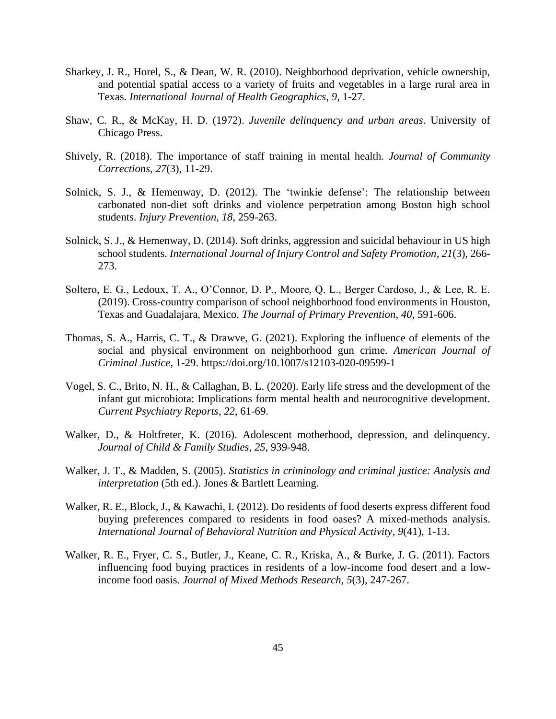- <span id="page-51-3"></span>Sharkey, J. R., Horel, S., & Dean, W. R. (2010). Neighborhood deprivation, vehicle ownership, and potential spatial access to a variety of fruits and vegetables in a large rural area in Texas. *International Journal of Health Geographics*, *9*, 1-27.
- <span id="page-51-0"></span>Shaw, C. R., & McKay, H. D. (1972). *Juvenile delinquency and urban areas*. University of Chicago Press.
- <span id="page-51-9"></span>Shively, R. (2018). The importance of staff training in mental health. *Journal of Community Corrections*, *27*(3), 11-29.
- <span id="page-51-7"></span>Solnick, S. J., & Hemenway, D. (2012). The 'twinkie defense': The relationship between carbonated non-diet soft drinks and violence perpetration among Boston high school students. *Injury Prevention*, *18*, 259-263.
- <span id="page-51-8"></span>Solnick, S. J., & Hemenway, D. (2014). Soft drinks, aggression and suicidal behaviour in US high school students. *International Journal of Injury Control and Safety Promotion*, *21*(3), 266- 273.
- <span id="page-51-4"></span>Soltero, E. G., Ledoux, T. A., O'Connor, D. P., Moore, Q. L., Berger Cardoso, J., & Lee, R. E. (2019). Cross-country comparison of school neighborhood food environments in Houston, Texas and Guadalajara, Mexico. *The Journal of Primary Prevention*, *40*, 591-606.
- <span id="page-51-10"></span>Thomas, S. A., Harris, C. T., & Drawve, G. (2021). Exploring the influence of elements of the social and physical environment on neighborhood gun crime. *American Journal of Criminal Justice*, 1-29. https://doi.org/10.1007/s12103-020-09599-1
- <span id="page-51-6"></span>Vogel, S. C., Brito, N. H., & Callaghan, B. L. (2020). Early life stress and the development of the infant gut microbiota: Implications form mental health and neurocognitive development. *Current Psychiatry Reports*, *22*, 61-69.
- <span id="page-51-5"></span>Walker, D., & Holtfreter, K. (2016). Adolescent motherhood, depression, and delinquency. *Journal of Child & Family Studies*, *25*, 939-948.
- <span id="page-51-11"></span>Walker, J. T., & Madden, S. (2005). *Statistics in criminology and criminal justice: Analysis and interpretation* (5th ed.). Jones & Bartlett Learning.
- <span id="page-51-2"></span>Walker, R. E., Block, J., & Kawachi, I. (2012). Do residents of food deserts express different food buying preferences compared to residents in food oases? A mixed-methods analysis. *International Journal of Behavioral Nutrition and Physical Activity*, *9*(41), 1-13.
- <span id="page-51-1"></span>Walker, R. E., Fryer, C. S., Butler, J., Keane, C. R., Kriska, A., & Burke, J. G. (2011). Factors influencing food buying practices in residents of a low-income food desert and a lowincome food oasis. *Journal of Mixed Methods Research*, *5*(3), 247-267.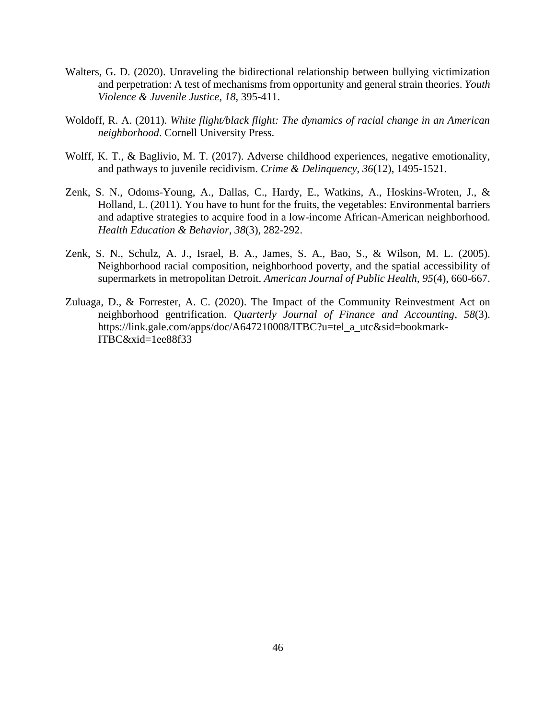- <span id="page-52-5"></span>Walters, G. D. (2020). Unraveling the bidirectional relationship between bullying victimization and perpetration: A test of mechanisms from opportunity and general strain theories. *Youth Violence & Juvenile Justice*, *18*, 395-411.
- <span id="page-52-0"></span>Woldoff, R. A. (2011). *White flight/black flight: The dynamics of racial change in an American neighborhood*. Cornell University Press.
- <span id="page-52-4"></span>Wolff, K. T., & Baglivio, M. T. (2017). Adverse childhood experiences, negative emotionality, and pathways to juvenile recidivism. *Crime & Delinquency*, *36*(12), 1495-1521.
- <span id="page-52-2"></span>Zenk, S. N., Odoms-Young, A., Dallas, C., Hardy, E., Watkins, A., Hoskins-Wroten, J., & Holland, L. (2011). You have to hunt for the fruits, the vegetables: Environmental barriers and adaptive strategies to acquire food in a low-income African-American neighborhood. *Health Education & Behavior*, *38*(3), 282-292.
- <span id="page-52-3"></span>Zenk, S. N., Schulz, A. J., Israel, B. A., James, S. A., Bao, S., & Wilson, M. L. (2005). Neighborhood racial composition, neighborhood poverty, and the spatial accessibility of supermarkets in metropolitan Detroit. *American Journal of Public Health*, *95*(4), 660-667.
- <span id="page-52-1"></span>Zuluaga, D., & Forrester, A. C. (2020). The Impact of the Community Reinvestment Act on neighborhood gentrification. *Quarterly Journal of Finance and Accounting*, *58*(3). https://link.gale.com/apps/doc/A647210008/ITBC?u=tel\_a\_utc&sid=bookmark-ITBC&xid=1ee88f33